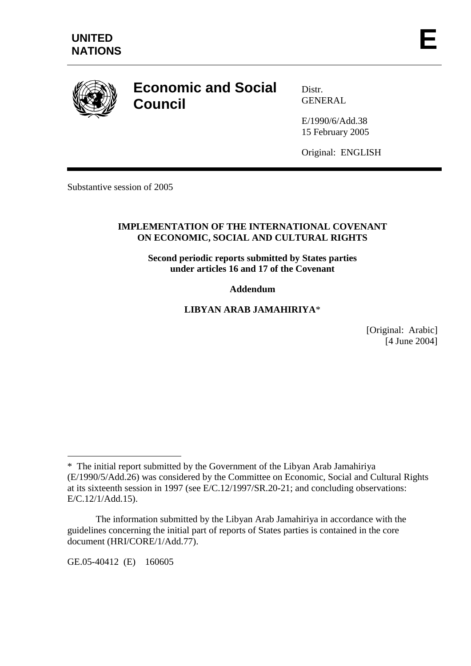

# **Economic and Social Council**

Distr. **GENERAL** 

E/1990/6/Add.38 15 February 2005

Original: ENGLISH

Substantive session of 2005

#### **IMPLEMENTATION OF THE INTERNATIONAL COVENANT ON ECONOMIC, SOCIAL AND CULTURAL RIGHTS**

**Second periodic reports submitted by States parties under articles 16 and 17 of the Covenant** 

## **Addendum**

## **LIBYAN ARAB JAMAHIRIYA**\*

[Original: Arabic] [4 June 2004]

GE.05-40412 (E) 160605

 $\overline{a}$ 

<sup>\*</sup> The initial report submitted by the Government of the Libyan Arab Jamahiriya (E/1990/5/Add.26) was considered by the Committee on Economic, Social and Cultural Rights at its sixteenth session in 1997 (see E/C.12/1997/SR.20-21; and concluding observations: E/C.12/1/Add.15).

The information submitted by the Libyan Arab Jamahiriya in accordance with the guidelines concerning the initial part of reports of States parties is contained in the core document (HRI/CORE/1/Add.77).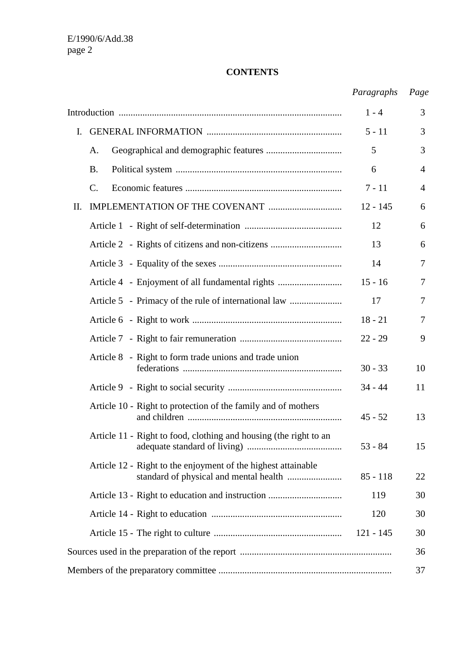## **CONTENTS**

|                |                                                                   | Paragraphs  | Page           |
|----------------|-------------------------------------------------------------------|-------------|----------------|
|                |                                                                   | $1 - 4$     | 3              |
| $\mathbf{I}$ . |                                                                   | $5 - 11$    | 3              |
|                | A.                                                                | 5           | 3              |
|                | <b>B.</b>                                                         | 6           | $\overline{4}$ |
|                | C.                                                                | $7 - 11$    | 4              |
| II.            |                                                                   | $12 - 145$  | 6              |
|                |                                                                   | 12          | 6              |
|                | Article 2 - Rights of citizens and non-citizens                   | 13          | 6              |
|                |                                                                   | 14          | 7              |
|                | Article 4 - Enjoyment of all fundamental rights                   | $15 - 16$   | 7              |
|                | Article 5 - Primacy of the rule of international law              | 17          | 7              |
|                |                                                                   | $18 - 21$   | 7              |
|                |                                                                   | $22 - 29$   | 9              |
|                | Article 8 - Right to form trade unions and trade union            | $30 - 33$   | 10             |
|                |                                                                   | $34 - 44$   | 11             |
|                | Article 10 - Right to protection of the family and of mothers     | $45 - 52$   | 13             |
|                | Article 11 - Right to food, clothing and housing (the right to an | $53 - 84$   | 15             |
|                | Article 12 - Right to the enjoyment of the highest attainable     | $85 - 118$  | 22             |
|                |                                                                   | 119         | 30             |
|                |                                                                   | 120         | 30             |
|                |                                                                   | $121 - 145$ | 30             |
|                |                                                                   |             | 36             |
|                |                                                                   |             | 37             |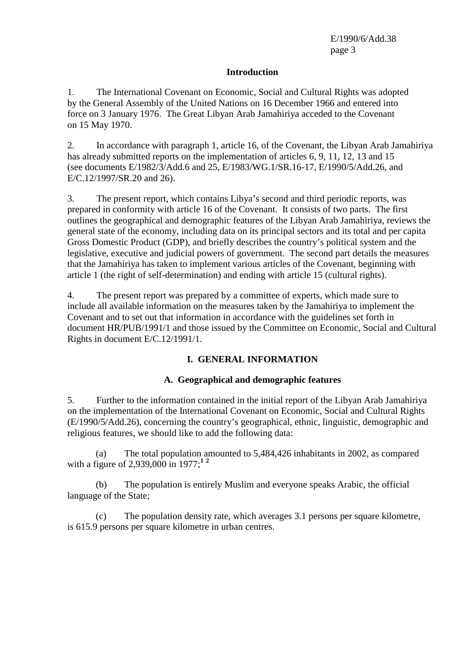#### **Introduction**

1. The International Covenant on Economic, Social and Cultural Rights was adopted by the General Assembly of the United Nations on 16 December 1966 and entered into force on 3 January 1976. The Great Libyan Arab Jamahiriya acceded to the Covenant on 15 May 1970.

2. In accordance with paragraph 1, article 16, of the Covenant, the Libyan Arab Jamahiriya has already submitted reports on the implementation of articles 6, 9, 11, 12, 13 and 15 (see documents E/1982/3/Add.6 and 25, E/1983/WG.1/SR.16-17, E/1990/5/Add.26, and E/C.12/1997/SR.20 and 26).

3. The present report, which contains Libya's second and third periodic reports, was prepared in conformity with article 16 of the Covenant. It consists of two parts. The first outlines the geographical and demographic features of the Libyan Arab Jamahiriya, reviews the general state of the economy, including data on its principal sectors and its total and per capita Gross Domestic Product (GDP), and briefly describes the country's political system and the legislative, executive and judicial powers of government. The second part details the measures that the Jamahiriya has taken to implement various articles of the Covenant, beginning with article 1 (the right of self-determination) and ending with article 15 (cultural rights).

4. The present report was prepared by a committee of experts, which made sure to include all available information on the measures taken by the Jamahiriya to implement the Covenant and to set out that information in accordance with the guidelines set forth in document HR/PUB/1991/1 and those issued by the Committee on Economic, Social and Cultural Rights in document E/C.12/1991/1.

# **I. GENERAL INFORMATION**

## **A. Geographical and demographic features**

5. Further to the information contained in the initial report of the Libyan Arab Jamahiriya on the implementation of the International Covenant on Economic, Social and Cultural Rights (E/1990/5/Add.26), concerning the country's geographical, ethnic, linguistic, demographic and religious features, we should like to add the following data:

 (a) The total population amounted to 5,484,426 inhabitants in 2002, as compared with a figure of 2,939,000 in 1977;**<sup>1</sup> <sup>2</sup>**

 (b) The population is entirely Muslim and everyone speaks Arabic, the official language of the State;

 (c) The population density rate, which averages 3.1 persons per square kilometre, is 615.9 persons per square kilometre in urban centres.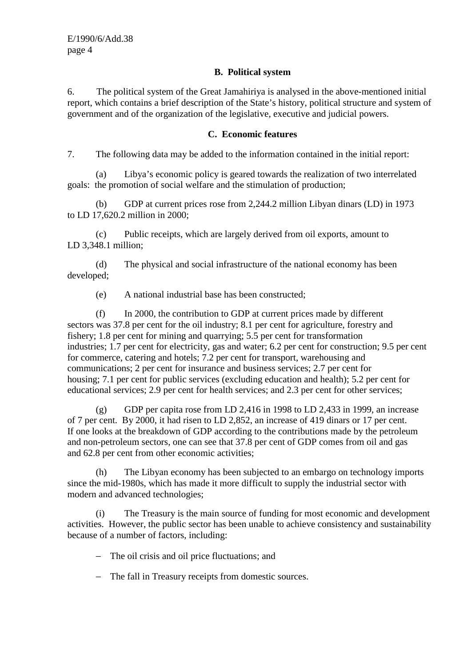## **B. Political system**

6. The political system of the Great Jamahiriya is analysed in the above-mentioned initial report, which contains a brief description of the State's history, political structure and system of government and of the organization of the legislative, executive and judicial powers.

## **C. Economic features**

7. The following data may be added to the information contained in the initial report:

 (a) Libya's economic policy is geared towards the realization of two interrelated goals: the promotion of social welfare and the stimulation of production;

 (b) GDP at current prices rose from 2,244.2 million Libyan dinars (LD) in 1973 to LD 17,620.2 million in 2000;

 (c) Public receipts, which are largely derived from oil exports, amount to LD 3,348.1 million;

 (d) The physical and social infrastructure of the national economy has been developed;

(e) A national industrial base has been constructed;

 (f) In 2000, the contribution to GDP at current prices made by different sectors was 37.8 per cent for the oil industry; 8.1 per cent for agriculture, forestry and fishery; 1.8 per cent for mining and quarrying; 5.5 per cent for transformation industries; 1.7 per cent for electricity, gas and water; 6.2 per cent for construction; 9.5 per cent for commerce, catering and hotels; 7.2 per cent for transport, warehousing and communications; 2 per cent for insurance and business services; 2.7 per cent for housing; 7.1 per cent for public services (excluding education and health); 5.2 per cent for educational services; 2.9 per cent for health services; and 2.3 per cent for other services;

 (g) GDP per capita rose from LD 2,416 in 1998 to LD 2,433 in 1999, an increase of 7 per cent. By 2000, it had risen to LD 2,852, an increase of 419 dinars or 17 per cent. If one looks at the breakdown of GDP according to the contributions made by the petroleum and non-petroleum sectors, one can see that 37.8 per cent of GDP comes from oil and gas and 62.8 per cent from other economic activities;

 (h) The Libyan economy has been subjected to an embargo on technology imports since the mid-1980s, which has made it more difficult to supply the industrial sector with modern and advanced technologies;

 (i) The Treasury is the main source of funding for most economic and development activities. However, the public sector has been unable to achieve consistency and sustainability because of a number of factors, including:

- − The oil crisis and oil price fluctuations; and
- − The fall in Treasury receipts from domestic sources.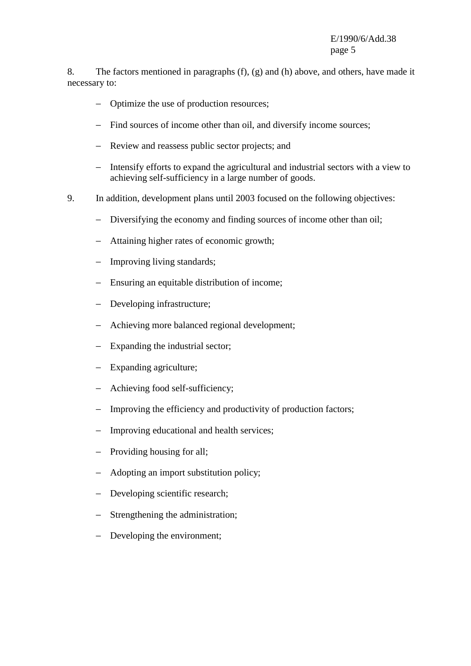8. The factors mentioned in paragraphs (f), (g) and (h) above, and others, have made it necessary to:

- − Optimize the use of production resources;
- − Find sources of income other than oil, and diversify income sources;
- − Review and reassess public sector projects; and
- − Intensify efforts to expand the agricultural and industrial sectors with a view to achieving self-sufficiency in a large number of goods.
- 9. In addition, development plans until 2003 focused on the following objectives:
	- − Diversifying the economy and finding sources of income other than oil;
	- − Attaining higher rates of economic growth;
	- − Improving living standards;
	- − Ensuring an equitable distribution of income;
	- − Developing infrastructure;
	- − Achieving more balanced regional development;
	- − Expanding the industrial sector;
	- − Expanding agriculture;
	- − Achieving food self-sufficiency;
	- − Improving the efficiency and productivity of production factors;
	- − Improving educational and health services;
	- − Providing housing for all;
	- Adopting an import substitution policy;
	- − Developing scientific research;
	- − Strengthening the administration;
	- − Developing the environment;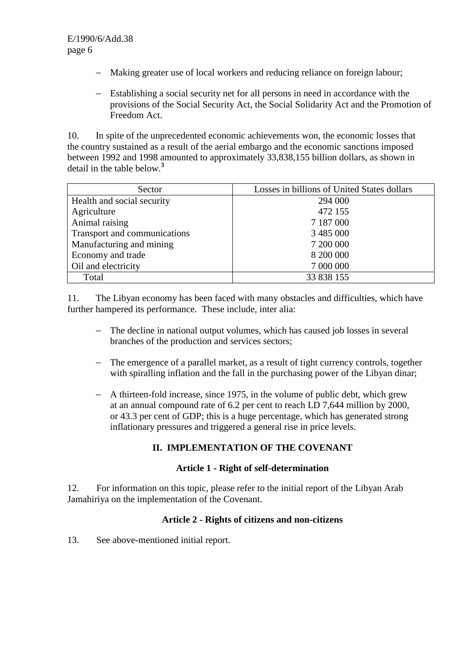- − Making greater use of local workers and reducing reliance on foreign labour;
- − Establishing a social security net for all persons in need in accordance with the provisions of the Social Security Act, the Social Solidarity Act and the Promotion of Freedom Act.

10. In spite of the unprecedented economic achievements won, the economic losses that the country sustained as a result of the aerial embargo and the economic sanctions imposed between 1992 and 1998 amounted to approximately 33,838,155 billion dollars, as shown in detail in the table below.**<sup>3</sup>**

| Sector                       | Losses in billions of United States dollars |
|------------------------------|---------------------------------------------|
| Health and social security   | 294 000                                     |
| Agriculture                  | 472 155                                     |
| Animal raising               | 7 187 000                                   |
| Transport and communications | 3 485 000                                   |
| Manufacturing and mining     | 7 200 000                                   |
| Economy and trade            | 8 200 000                                   |
| Oil and electricity          | 7 000 000                                   |
| Total                        | 33 838 155                                  |

11. The Libyan economy has been faced with many obstacles and difficulties, which have further hampered its performance. These include, inter alia:

- − The decline in national output volumes, which has caused job losses in several branches of the production and services sectors;
- − The emergence of a parallel market, as a result of tight currency controls, together with spiralling inflation and the fall in the purchasing power of the Libyan dinar;
- − A thirteen-fold increase, since 1975, in the volume of public debt, which grew at an annual compound rate of 6.2 per cent to reach LD 7,644 million by 2000, or 43.3 per cent of GDP; this is a huge percentage, which has generated strong inflationary pressures and triggered a general rise in price levels.

# **II. IMPLEMENTATION OF THE COVENANT**

#### **Article 1 - Right of self-determination**

12. For information on this topic, please refer to the initial report of the Libyan Arab Jamahiriya on the implementation of the Covenant.

#### **Article 2 - Rights of citizens and non-citizens**

13. See above-mentioned initial report.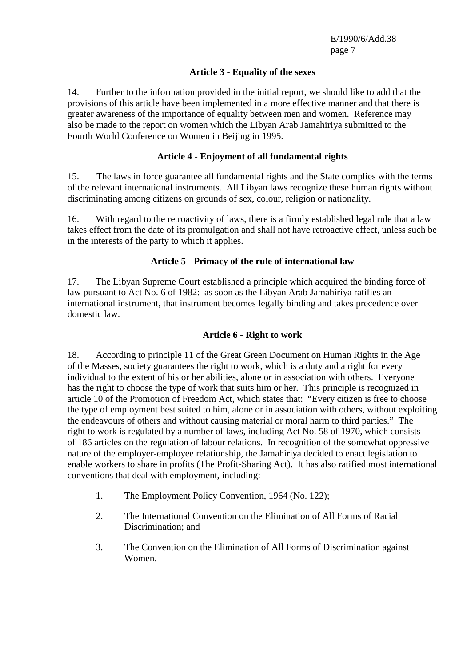## **Article 3 - Equality of the sexes**

14. Further to the information provided in the initial report, we should like to add that the provisions of this article have been implemented in a more effective manner and that there is greater awareness of the importance of equality between men and women. Reference may also be made to the report on women which the Libyan Arab Jamahiriya submitted to the Fourth World Conference on Women in Beijing in 1995.

## **Article 4 - Enjoyment of all fundamental rights**

15. The laws in force guarantee all fundamental rights and the State complies with the terms of the relevant international instruments. All Libyan laws recognize these human rights without discriminating among citizens on grounds of sex, colour, religion or nationality.

16. With regard to the retroactivity of laws, there is a firmly established legal rule that a law takes effect from the date of its promulgation and shall not have retroactive effect, unless such be in the interests of the party to which it applies.

## **Article 5 - Primacy of the rule of international law**

17. The Libyan Supreme Court established a principle which acquired the binding force of law pursuant to Act No. 6 of 1982: as soon as the Libyan Arab Jamahiriya ratifies an international instrument, that instrument becomes legally binding and takes precedence over domestic law.

#### **Article 6 - Right to work**

18. According to principle 11 of the Great Green Document on Human Rights in the Age of the Masses, society guarantees the right to work, which is a duty and a right for every individual to the extent of his or her abilities, alone or in association with others. Everyone has the right to choose the type of work that suits him or her. This principle is recognized in article 10 of the Promotion of Freedom Act, which states that: "Every citizen is free to choose the type of employment best suited to him, alone or in association with others, without exploiting the endeavours of others and without causing material or moral harm to third parties." The right to work is regulated by a number of laws, including Act No. 58 of 1970, which consists of 186 articles on the regulation of labour relations. In recognition of the somewhat oppressive nature of the employer-employee relationship, the Jamahiriya decided to enact legislation to enable workers to share in profits (The Profit-Sharing Act). It has also ratified most international conventions that deal with employment, including:

- 1. The Employment Policy Convention, 1964 (No. 122);
- 2. The International Convention on the Elimination of All Forms of Racial Discrimination; and
- 3. The Convention on the Elimination of All Forms of Discrimination against Women.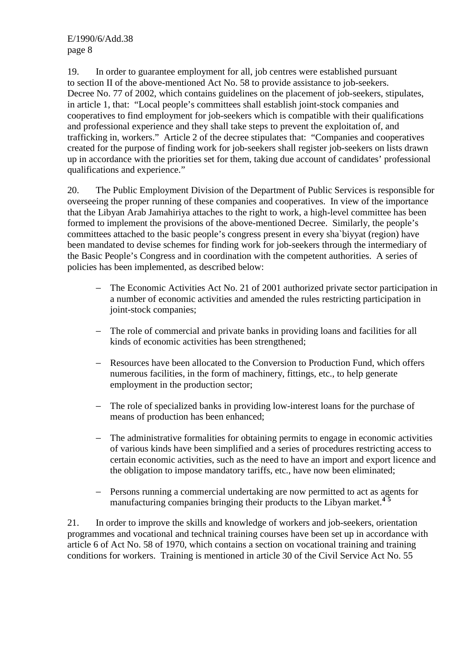19. In order to guarantee employment for all, job centres were established pursuant to section II of the above-mentioned Act No. 58 to provide assistance to job-seekers. Decree No. 77 of 2002, which contains guidelines on the placement of job-seekers, stipulates, in article 1, that: "Local people's committees shall establish joint-stock companies and cooperatives to find employment for job-seekers which is compatible with their qualifications and professional experience and they shall take steps to prevent the exploitation of, and trafficking in, workers." Article 2 of the decree stipulates that: "Companies and cooperatives created for the purpose of finding work for job-seekers shall register job-seekers on lists drawn up in accordance with the priorities set for them, taking due account of candidates' professional qualifications and experience."

20. The Public Employment Division of the Department of Public Services is responsible for overseeing the proper running of these companies and cooperatives. In view of the importance that the Libyan Arab Jamahiriya attaches to the right to work, a high-level committee has been formed to implement the provisions of the above-mentioned Decree. Similarly, the people's committees attached to the basic people's congress present in every sha`biyyat (region) have been mandated to devise schemes for finding work for job-seekers through the intermediary of the Basic People's Congress and in coordination with the competent authorities. A series of policies has been implemented, as described below:

- − The Economic Activities Act No. 21 of 2001 authorized private sector participation in a number of economic activities and amended the rules restricting participation in joint-stock companies;
- − The role of commercial and private banks in providing loans and facilities for all kinds of economic activities has been strengthened;
- − Resources have been allocated to the Conversion to Production Fund, which offers numerous facilities, in the form of machinery, fittings, etc., to help generate employment in the production sector;
- The role of specialized banks in providing low-interest loans for the purchase of means of production has been enhanced;
- − The administrative formalities for obtaining permits to engage in economic activities of various kinds have been simplified and a series of procedures restricting access to certain economic activities, such as the need to have an import and export licence and the obligation to impose mandatory tariffs, etc., have now been eliminated;
- − Persons running a commercial undertaking are now permitted to act as agents for manufacturing companies bringing their products to the Libyan market.**<sup>4</sup> <sup>5</sup>**

21. In order to improve the skills and knowledge of workers and job-seekers, orientation programmes and vocational and technical training courses have been set up in accordance with article 6 of Act No. 58 of 1970, which contains a section on vocational training and training conditions for workers. Training is mentioned in article 30 of the Civil Service Act No. 55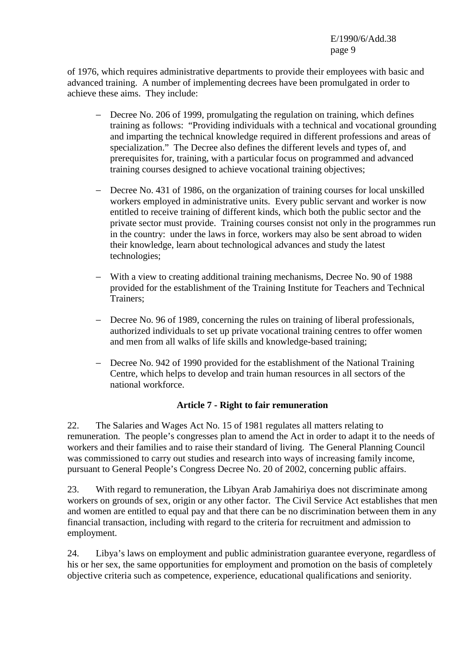of 1976, which requires administrative departments to provide their employees with basic and advanced training. A number of implementing decrees have been promulgated in order to achieve these aims. They include:

- − Decree No. 206 of 1999, promulgating the regulation on training, which defines training as follows: "Providing individuals with a technical and vocational grounding and imparting the technical knowledge required in different professions and areas of specialization." The Decree also defines the different levels and types of, and prerequisites for, training, with a particular focus on programmed and advanced training courses designed to achieve vocational training objectives;
- − Decree No. 431 of 1986, on the organization of training courses for local unskilled workers employed in administrative units. Every public servant and worker is now entitled to receive training of different kinds, which both the public sector and the private sector must provide. Training courses consist not only in the programmes run in the country: under the laws in force, workers may also be sent abroad to widen their knowledge, learn about technological advances and study the latest technologies;
- − With a view to creating additional training mechanisms, Decree No. 90 of 1988 provided for the establishment of the Training Institute for Teachers and Technical Trainers;
- − Decree No. 96 of 1989, concerning the rules on training of liberal professionals, authorized individuals to set up private vocational training centres to offer women and men from all walks of life skills and knowledge-based training;
- − Decree No. 942 of 1990 provided for the establishment of the National Training Centre, which helps to develop and train human resources in all sectors of the national workforce.

## **Article 7 - Right to fair remuneration**

22. The Salaries and Wages Act No. 15 of 1981 regulates all matters relating to remuneration. The people's congresses plan to amend the Act in order to adapt it to the needs of workers and their families and to raise their standard of living. The General Planning Council was commissioned to carry out studies and research into ways of increasing family income, pursuant to General People's Congress Decree No. 20 of 2002, concerning public affairs.

23. With regard to remuneration, the Libyan Arab Jamahiriya does not discriminate among workers on grounds of sex, origin or any other factor. The Civil Service Act establishes that men and women are entitled to equal pay and that there can be no discrimination between them in any financial transaction, including with regard to the criteria for recruitment and admission to employment.

24. Libya's laws on employment and public administration guarantee everyone, regardless of his or her sex, the same opportunities for employment and promotion on the basis of completely objective criteria such as competence, experience, educational qualifications and seniority.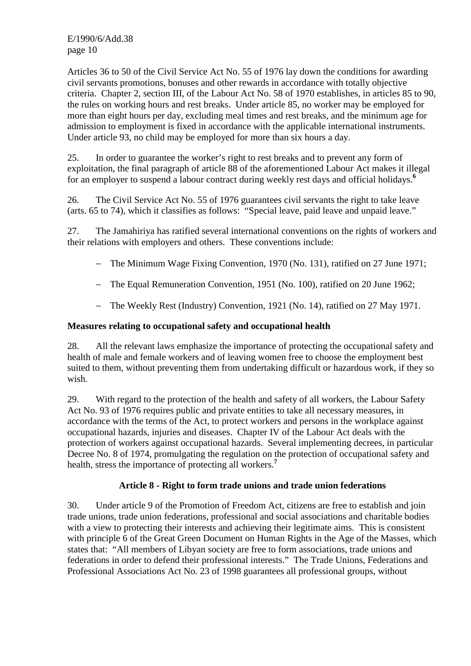Articles 36 to 50 of the Civil Service Act No. 55 of 1976 lay down the conditions for awarding civil servants promotions, bonuses and other rewards in accordance with totally objective criteria. Chapter 2, section III, of the Labour Act No. 58 of 1970 establishes, in articles 85 to 90, the rules on working hours and rest breaks. Under article 85, no worker may be employed for more than eight hours per day, excluding meal times and rest breaks, and the minimum age for admission to employment is fixed in accordance with the applicable international instruments. Under article 93, no child may be employed for more than six hours a day.

25. In order to guarantee the worker's right to rest breaks and to prevent any form of exploitation, the final paragraph of article 88 of the aforementioned Labour Act makes it illegal for an employer to suspend a labour contract during weekly rest days and official holidays.**<sup>6</sup>**

26. The Civil Service Act No. 55 of 1976 guarantees civil servants the right to take leave (arts. 65 to 74), which it classifies as follows: "Special leave, paid leave and unpaid leave."

27. The Jamahiriya has ratified several international conventions on the rights of workers and their relations with employers and others. These conventions include:

- − The Minimum Wage Fixing Convention, 1970 (No. 131), ratified on 27 June 1971;
- − The Equal Remuneration Convention, 1951 (No. 100), ratified on 20 June 1962;
- − The Weekly Rest (Industry) Convention, 1921 (No. 14), ratified on 27 May 1971.

#### **Measures relating to occupational safety and occupational health**

28. All the relevant laws emphasize the importance of protecting the occupational safety and health of male and female workers and of leaving women free to choose the employment best suited to them, without preventing them from undertaking difficult or hazardous work, if they so wish.

29. With regard to the protection of the health and safety of all workers, the Labour Safety Act No. 93 of 1976 requires public and private entities to take all necessary measures, in accordance with the terms of the Act, to protect workers and persons in the workplace against occupational hazards, injuries and diseases. Chapter IV of the Labour Act deals with the protection of workers against occupational hazards. Several implementing decrees, in particular Decree No. 8 of 1974, promulgating the regulation on the protection of occupational safety and health, stress the importance of protecting all workers.**<sup>7</sup>**

## **Article 8 - Right to form trade unions and trade union federations**

30. Under article 9 of the Promotion of Freedom Act, citizens are free to establish and join trade unions, trade union federations, professional and social associations and charitable bodies with a view to protecting their interests and achieving their legitimate aims. This is consistent with principle 6 of the Great Green Document on Human Rights in the Age of the Masses, which states that: "All members of Libyan society are free to form associations, trade unions and federations in order to defend their professional interests." The Trade Unions, Federations and Professional Associations Act No. 23 of 1998 guarantees all professional groups, without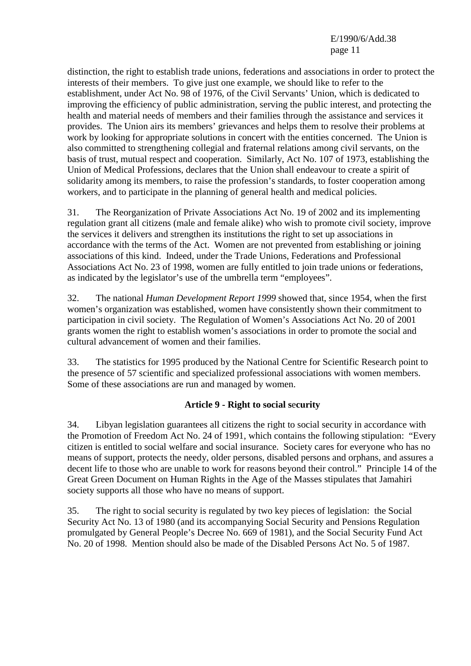distinction, the right to establish trade unions, federations and associations in order to protect the interests of their members. To give just one example, we should like to refer to the establishment, under Act No. 98 of 1976, of the Civil Servants' Union, which is dedicated to improving the efficiency of public administration, serving the public interest, and protecting the health and material needs of members and their families through the assistance and services it provides. The Union airs its members' grievances and helps them to resolve their problems at work by looking for appropriate solutions in concert with the entities concerned. The Union is also committed to strengthening collegial and fraternal relations among civil servants, on the basis of trust, mutual respect and cooperation. Similarly, Act No. 107 of 1973, establishing the Union of Medical Professions, declares that the Union shall endeavour to create a spirit of solidarity among its members, to raise the profession's standards, to foster cooperation among workers, and to participate in the planning of general health and medical policies.

31. The Reorganization of Private Associations Act No. 19 of 2002 and its implementing regulation grant all citizens (male and female alike) who wish to promote civil society, improve the services it delivers and strengthen its institutions the right to set up associations in accordance with the terms of the Act. Women are not prevented from establishing or joining associations of this kind. Indeed, under the Trade Unions, Federations and Professional Associations Act No. 23 of 1998, women are fully entitled to join trade unions or federations, as indicated by the legislator's use of the umbrella term "employees".

32. The national *Human Development Report 1999* showed that, since 1954, when the first women's organization was established, women have consistently shown their commitment to participation in civil society. The Regulation of Women's Associations Act No. 20 of 2001 grants women the right to establish women's associations in order to promote the social and cultural advancement of women and their families.

33. The statistics for 1995 produced by the National Centre for Scientific Research point to the presence of 57 scientific and specialized professional associations with women members. Some of these associations are run and managed by women.

## **Article 9 - Right to social s**e**curity**

34. Libyan legislation guarantees all citizens the right to social security in accordance with the Promotion of Freedom Act No. 24 of 1991, which contains the following stipulation: "Every citizen is entitled to social welfare and social insurance. Society cares for everyone who has no means of support, protects the needy, older persons, disabled persons and orphans, and assures a decent life to those who are unable to work for reasons beyond their control." Principle 14 of the Great Green Document on Human Rights in the Age of the Masses stipulates that Jamahiri society supports all those who have no means of support.

35. The right to social security is regulated by two key pieces of legislation: the Social Security Act No. 13 of 1980 (and its accompanying Social Security and Pensions Regulation promulgated by General People's Decree No. 669 of 1981), and the Social Security Fund Act No. 20 of 1998. Mention should also be made of the Disabled Persons Act No. 5 of 1987.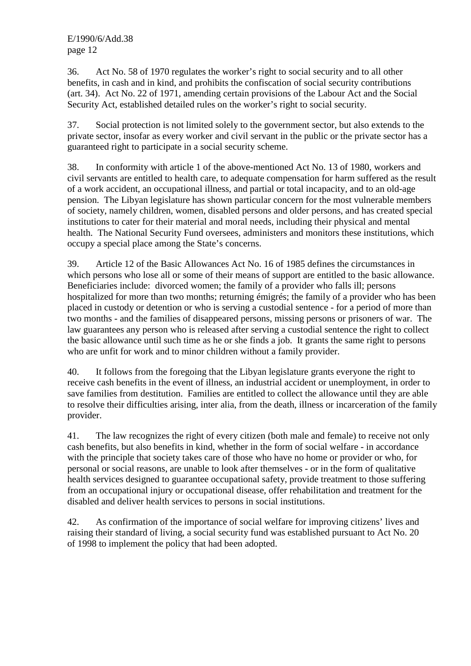36. Act No. 58 of 1970 regulates the worker's right to social security and to all other benefits, in cash and in kind, and prohibits the confiscation of social security contributions (art. 34). Act No. 22 of 1971, amending certain provisions of the Labour Act and the Social Security Act, established detailed rules on the worker's right to social security.

37. Social protection is not limited solely to the government sector, but also extends to the private sector, insofar as every worker and civil servant in the public or the private sector has a guaranteed right to participate in a social security scheme.

38. In conformity with article 1 of the above-mentioned Act No. 13 of 1980, workers and civil servants are entitled to health care, to adequate compensation for harm suffered as the result of a work accident, an occupational illness, and partial or total incapacity, and to an old-age pension. The Libyan legislature has shown particular concern for the most vulnerable members of society, namely children, women, disabled persons and older persons, and has created special institutions to cater for their material and moral needs, including their physical and mental health. The National Security Fund oversees, administers and monitors these institutions, which occupy a special place among the State's concerns.

39. Article 12 of the Basic Allowances Act No. 16 of 1985 defines the circumstances in which persons who lose all or some of their means of support are entitled to the basic allowance. Beneficiaries include: divorced women; the family of a provider who falls ill; persons hospitalized for more than two months; returning émigrés; the family of a provider who has been placed in custody or detention or who is serving a custodial sentence - for a period of more than two months - and the families of disappeared persons, missing persons or prisoners of war. The law guarantees any person who is released after serving a custodial sentence the right to collect the basic allowance until such time as he or she finds a job. It grants the same right to persons who are unfit for work and to minor children without a family provider.

40. It follows from the foregoing that the Libyan legislature grants everyone the right to receive cash benefits in the event of illness, an industrial accident or unemployment, in order to save families from destitution. Families are entitled to collect the allowance until they are able to resolve their difficulties arising, inter alia, from the death, illness or incarceration of the family provider.

41. The law recognizes the right of every citizen (both male and female) to receive not only cash benefits, but also benefits in kind, whether in the form of social welfare - in accordance with the principle that society takes care of those who have no home or provider or who, for personal or social reasons, are unable to look after themselves - or in the form of qualitative health services designed to guarantee occupational safety, provide treatment to those suffering from an occupational injury or occupational disease, offer rehabilitation and treatment for the disabled and deliver health services to persons in social institutions.

42. As confirmation of the importance of social welfare for improving citizens' lives and raising their standard of living, a social security fund was established pursuant to Act No. 20 of 1998 to implement the policy that had been adopted.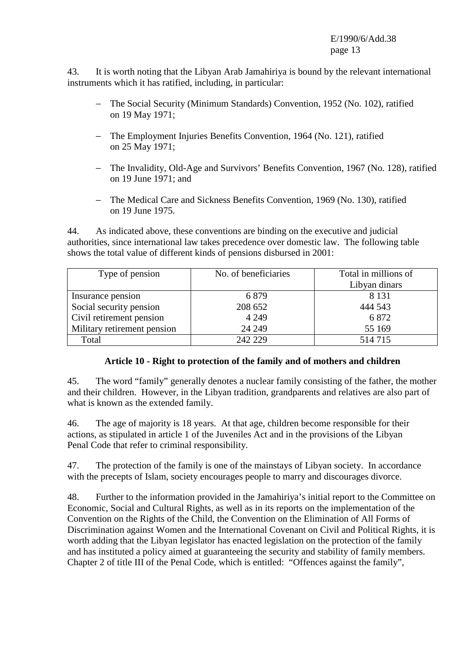43. It is worth noting that the Libyan Arab Jamahiriya is bound by the relevant international instruments which it has ratified, including, in particular:

- − The Social Security (Minimum Standards) Convention, 1952 (No. 102), ratified on 19 May 1971;
- − The Employment Injuries Benefits Convention, 1964 (No. 121), ratified on 25 May 1971;
- − The Invalidity, Old-Age and Survivors' Benefits Convention, 1967 (No. 128), ratified on 19 June 1971; and
- − The Medical Care and Sickness Benefits Convention, 1969 (No. 130), ratified on 19 June 1975.

44. As indicated above, these conventions are binding on the executive and judicial authorities, since international law takes precedence over domestic law. The following table shows the total value of different kinds of pensions disbursed in 2001:

| Type of pension             | No. of beneficiaries | Total in millions of |
|-----------------------------|----------------------|----------------------|
|                             |                      | Libyan dinars        |
| Insurance pension           | 6879                 | 8 1 3 1              |
| Social security pension     | 208 652              | 444 543              |
| Civil retirement pension    | 4 2 4 9              | 6872                 |
| Military retirement pension | 24 24 9              | 55 169               |
| Total                       | 242 229              | 514 715              |

## **Article 10 - Right to protection of the family and of mothers and children**

45. The word "family" generally denotes a nuclear family consisting of the father, the mother and their children. However, in the Libyan tradition, grandparents and relatives are also part of what is known as the extended family.

46. The age of majority is 18 years. At that age, children become responsible for their actions, as stipulated in article 1 of the Juveniles Act and in the provisions of the Libyan Penal Code that refer to criminal responsibility.

47. The protection of the family is one of the mainstays of Libyan society. In accordance with the precepts of Islam, society encourages people to marry and discourages divorce.

48. Further to the information provided in the Jamahiriya's initial report to the Committee on Economic, Social and Cultural Rights, as well as in its reports on the implementation of the Convention on the Rights of the Child, the Convention on the Elimination of All Forms of Discrimination against Women and the International Covenant on Civil and Political Rights, it is worth adding that the Libyan legislator has enacted legislation on the protection of the family and has instituted a policy aimed at guaranteeing the security and stability of family members. Chapter 2 of title III of the Penal Code, which is entitled: "Offences against the family",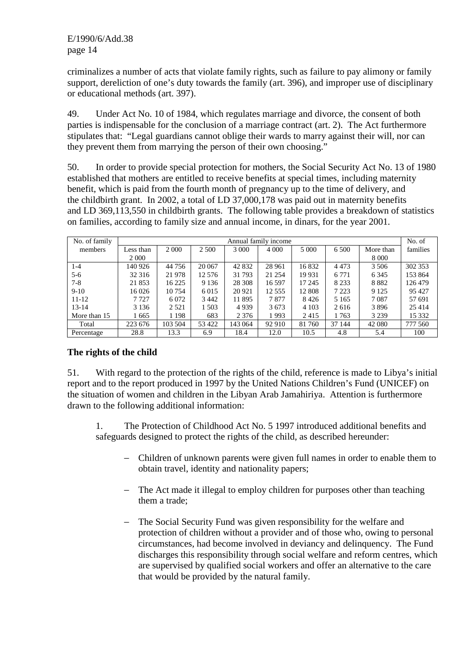criminalizes a number of acts that violate family rights, such as failure to pay alimony or family support, dereliction of one's duty towards the family (art. 396), and improper use of disciplinary or educational methods (art. 397).

49. Under Act No. 10 of 1984, which regulates marriage and divorce, the consent of both parties is indispensable for the conclusion of a marriage contract (art. 2). The Act furthermore stipulates that: "Legal guardians cannot oblige their wards to marry against their will, nor can they prevent them from marrying the person of their own choosing."

50. In order to provide special protection for mothers, the Social Security Act No. 13 of 1980 established that mothers are entitled to receive benefits at special times, including maternity benefit, which is paid from the fourth month of pregnancy up to the time of delivery, and the childbirth grant. In 2002, a total of LD 37,000,178 was paid out in maternity benefits and LD 369,113,550 in childbirth grants. The following table provides a breakdown of statistics on families, according to family size and annual income, in dinars, for the year 2001.

| No. of family | Annual family income |          |         |         |          |         |         | No. of    |          |
|---------------|----------------------|----------|---------|---------|----------|---------|---------|-----------|----------|
| members       | Less than            | 2 0 0 0  | 2 500   | 3 0 0 0 | 4 0 0 0  | 5 0 0 0 | 6 500   | More than | families |
|               | 2 0 0 0              |          |         |         |          |         |         | 8 0 0 0   |          |
| $1 - 4$       | 140 926              | 44 7 5 6 | 20 067  | 42 832  | 28 9 61  | 16832   | 4 4 7 3 | 3 5 0 6   | 302 353  |
| $5 - 6$       | 32 316               | 21 978   | 12 576  | 31 793  | 21 254   | 19 9 31 | 6 7 7 1 | 6 3 4 5   | 153 864  |
| $7 - 8$       | 21853                | 16 2 25  | 9 1 3 6 | 28 30 8 | 16 5 97  | 17 245  | 8 2 3 3 | 8882      | 126 479  |
| $9-10$        | 16 0 26              | 10 7 54  | 6 0 1 5 | 20 9 21 | 12 5 5 5 | 12 808  | 7 2 2 3 | 9 1 2 5   | 95 427   |
| $11 - 12$     | 7 7 2 7              | 6 0 7 2  | 3 4 4 2 | 11 895  | 7877     | 8426    | 5 1 6 5 | 7087      | 57 691   |
| $13 - 14$     | 3 1 3 6              | 2 5 2 1  | 1 503   | 4939    | 3673     | 4 1 0 3 | 2616    | 3896      | 25 4 14  |
| More than 15  | 1 665                | 1 1 9 8  | 683     | 2 3 7 6 | 1993     | 2415    | 1763    | 3 2 3 9   | 15 3 3 2 |
| Total         | 223 676              | 103 504  | 53 422  | 143 064 | 92 910   | 81 760  | 37 144  | 42 080    | 777 560  |
| Percentage    | 28.8                 | 13.3     | 6.9     | 18.4    | 12.0     | 10.5    | 4.8     | 5.4       | 100      |

## **The rights of the child**

51. With regard to the protection of the rights of the child, reference is made to Libya's initial report and to the report produced in 1997 by the United Nations Children's Fund (UNICEF) on the situation of women and children in the Libyan Arab Jamahiriya. Attention is furthermore drawn to the following additional information:

 1. The Protection of Childhood Act No. 5 1997 introduced additional benefits and safeguards designed to protect the rights of the child, as described hereunder:

- − Children of unknown parents were given full names in order to enable them to obtain travel, identity and nationality papers;
- − The Act made it illegal to employ children for purposes other than teaching them a trade;
- The Social Security Fund was given responsibility for the welfare and protection of children without a provider and of those who, owing to personal circumstances, had become involved in deviancy and delinquency. The Fund discharges this responsibility through social welfare and reform centres, which are supervised by qualified social workers and offer an alternative to the care that would be provided by the natural family.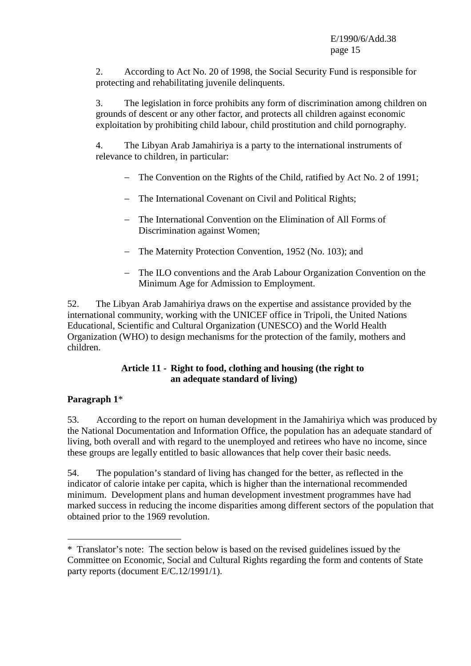2. According to Act No. 20 of 1998, the Social Security Fund is responsible for protecting and rehabilitating juvenile delinquents.

 3. The legislation in force prohibits any form of discrimination among children on grounds of descent or any other factor, and protects all children against economic exploitation by prohibiting child labour, child prostitution and child pornography.

 4. The Libyan Arab Jamahiriya is a party to the international instruments of relevance to children, in particular:

- − The Convention on the Rights of the Child, ratified by Act No. 2 of 1991;
- − The International Covenant on Civil and Political Rights;
- − The International Convention on the Elimination of All Forms of Discrimination against Women;
- − The Maternity Protection Convention, 1952 (No. 103); and
- − The ILO conventions and the Arab Labour Organization Convention on the Minimum Age for Admission to Employment.

52. The Libyan Arab Jamahiriya draws on the expertise and assistance provided by the international community, working with the UNICEF office in Tripoli, the United Nations Educational, Scientific and Cultural Organization (UNESCO) and the World Health Organization (WHO) to design mechanisms for the protection of the family, mothers and children.

## **Article 11 - Right to food, clothing and housing (the right to an adequate standard of living)**

# **Paragraph 1**\*

 $\overline{a}$ 

53. According to the report on human development in the Jamahiriya which was produced by the National Documentation and Information Office, the population has an adequate standard of living, both overall and with regard to the unemployed and retirees who have no income, since these groups are legally entitled to basic allowances that help cover their basic needs.

54. The population's standard of living has changed for the better, as reflected in the indicator of calorie intake per capita, which is higher than the international recommended minimum. Development plans and human development investment programmes have had marked success in reducing the income disparities among different sectors of the population that obtained prior to the 1969 revolution.

<sup>\*</sup>Translator's note: The section below is based on the revised guidelines issued by the Committee on Economic, Social and Cultural Rights regarding the form and contents of State party reports (document E/C.12/1991/1).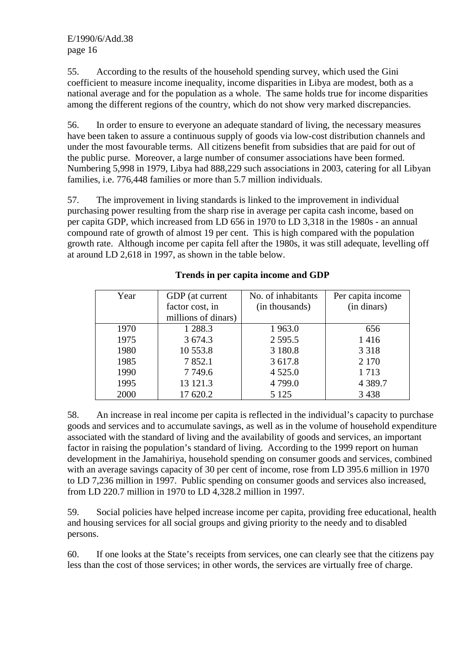55. According to the results of the household spending survey, which used the Gini coefficient to measure income inequality, income disparities in Libya are modest, both as a national average and for the population as a whole. The same holds true for income disparities among the different regions of the country, which do not show very marked discrepancies.

56. In order to ensure to everyone an adequate standard of living, the necessary measures have been taken to assure a continuous supply of goods via low-cost distribution channels and under the most favourable terms. All citizens benefit from subsidies that are paid for out of the public purse. Moreover, a large number of consumer associations have been formed. Numbering 5,998 in 1979, Libya had 888,229 such associations in 2003, catering for all Libyan families, i.e. 776,448 families or more than 5.7 million individuals.

57. The improvement in living standards is linked to the improvement in individual purchasing power resulting from the sharp rise in average per capita cash income, based on per capita GDP, which increased from LD 656 in 1970 to LD 3,318 in the 1980s - an annual compound rate of growth of almost 19 per cent. This is high compared with the population growth rate. Although income per capita fell after the 1980s, it was still adequate, levelling off at around LD 2,618 in 1997, as shown in the table below.

| Year | GDP (at current     | No. of inhabitants | Per capita income |
|------|---------------------|--------------------|-------------------|
|      | factor cost, in     | (in thousands)     | (in dinars)       |
|      | millions of dinars) |                    |                   |
| 1970 | 1 288.3             | 1963.0             | 656               |
| 1975 | 3 674.3             | 2 5 9 5 .5         | 1416              |
| 1980 | 10 553.8            | 3 180.8            | 3 3 1 8           |
| 1985 | 7852.1              | 3 617.8            | 2 1 7 0           |
| 1990 | 7 7 4 9 . 6         | 4 5 2 5 .0         | 1713              |
| 1995 | 13 121.3            | 4799.0             | 4 3 8 9.7         |
| 2000 | 17 620.2            | 5 1 2 5            | 3 4 3 8           |

# **Trends in per capita income and GDP**

58. An increase in real income per capita is reflected in the individual's capacity to purchase goods and services and to accumulate savings, as well as in the volume of household expenditure associated with the standard of living and the availability of goods and services, an important factor in raising the population's standard of living. According to the 1999 report on human development in the Jamahiriya, household spending on consumer goods and services, combined with an average savings capacity of 30 per cent of income, rose from LD 395.6 million in 1970 to LD 7,236 million in 1997. Public spending on consumer goods and services also increased, from LD 220.7 million in 1970 to LD 4,328.2 million in 1997.

59. Social policies have helped increase income per capita, providing free educational, health and housing services for all social groups and giving priority to the needy and to disabled persons.

60. If one looks at the State's receipts from services, one can clearly see that the citizens pay less than the cost of those services; in other words, the services are virtually free of charge.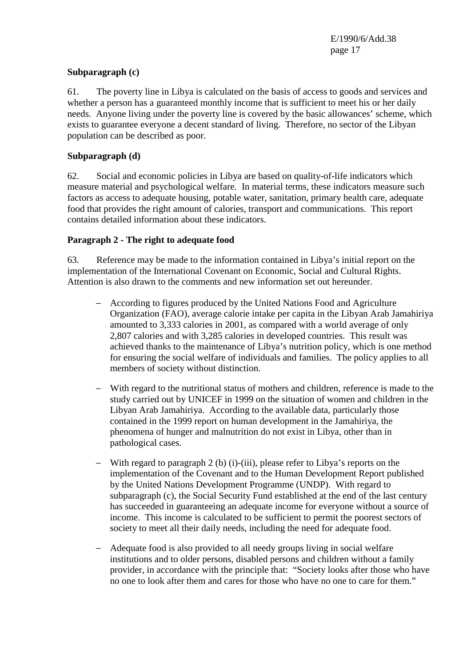#### **Subparagraph (c)**

61. The poverty line in Libya is calculated on the basis of access to goods and services and whether a person has a guaranteed monthly income that is sufficient to meet his or her daily needs. Anyone living under the poverty line is covered by the basic allowances' scheme, which exists to guarantee everyone a decent standard of living. Therefore, no sector of the Libyan population can be described as poor.

#### **Subparagraph (d)**

62. Social and economic policies in Libya are based on quality-of-life indicators which measure material and psychological welfare. In material terms, these indicators measure such factors as access to adequate housing, potable water, sanitation, primary health care, adequate food that provides the right amount of calories, transport and communications. This report contains detailed information about these indicators.

#### **Paragraph 2 - The right to adequate food**

63. Reference may be made to the information contained in Libya's initial report on the implementation of the International Covenant on Economic, Social and Cultural Rights. Attention is also drawn to the comments and new information set out hereunder.

- − According to figures produced by the United Nations Food and Agriculture Organization (FAO), average calorie intake per capita in the Libyan Arab Jamahiriya amounted to 3,333 calories in 2001, as compared with a world average of only 2,807 calories and with 3,285 calories in developed countries. This result was achieved thanks to the maintenance of Libya's nutrition policy, which is one method for ensuring the social welfare of individuals and families. The policy applies to all members of society without distinction.
- − With regard to the nutritional status of mothers and children, reference is made to the study carried out by UNICEF in 1999 on the situation of women and children in the Libyan Arab Jamahiriya. According to the available data, particularly those contained in the 1999 report on human development in the Jamahiriya, the phenomena of hunger and malnutrition do not exist in Libya, other than in pathological cases.
- − With regard to paragraph 2 (b) (i)-(iii), please refer to Libya's reports on the implementation of the Covenant and to the Human Development Report published by the United Nations Development Programme (UNDP). With regard to subparagraph (c), the Social Security Fund established at the end of the last century has succeeded in guaranteeing an adequate income for everyone without a source of income. This income is calculated to be sufficient to permit the poorest sectors of society to meet all their daily needs, including the need for adequate food.
- − Adequate food is also provided to all needy groups living in social welfare institutions and to older persons, disabled persons and children without a family provider, in accordance with the principle that: "Society looks after those who have no one to look after them and cares for those who have no one to care for them."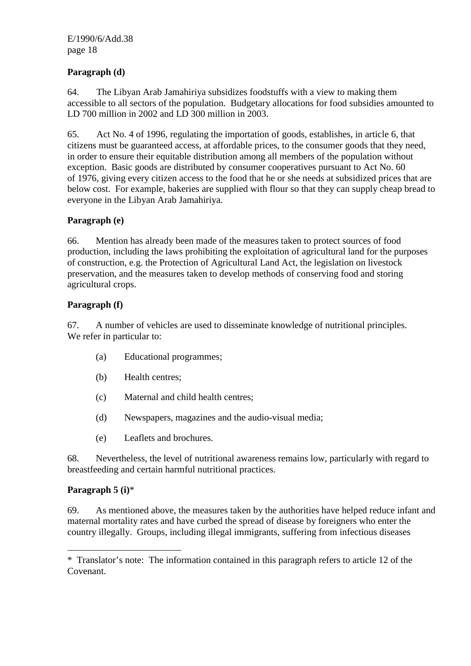# **Paragraph (d)**

64. The Libyan Arab Jamahiriya subsidizes foodstuffs with a view to making them accessible to all sectors of the population. Budgetary allocations for food subsidies amounted to LD 700 million in 2002 and LD 300 million in 2003.

65. Act No. 4 of 1996, regulating the importation of goods, establishes, in article 6, that citizens must be guaranteed access, at affordable prices, to the consumer goods that they need, in order to ensure their equitable distribution among all members of the population without exception. Basic goods are distributed by consumer cooperatives pursuant to Act No. 60 of 1976, giving every citizen access to the food that he or she needs at subsidized prices that are below cost. For example, bakeries are supplied with flour so that they can supply cheap bread to everyone in the Libyan Arab Jamahiriya.

# **Paragraph (e)**

66. Mention has already been made of the measures taken to protect sources of food production, including the laws prohibiting the exploitation of agricultural land for the purposes of construction, e.g. the Protection of Agricultural Land Act, the legislation on livestock preservation, and the measures taken to develop methods of conserving food and storing agricultural crops.

# **Paragraph (f)**

67. A number of vehicles are used to disseminate knowledge of nutritional principles. We refer in particular to:

- (a) Educational programmes;
- (b) Health centres;
- (c) Maternal and child health centres;
- (d) Newspapers, magazines and the audio-visual media;
- (e) Leaflets and brochures.

68. Nevertheless, the level of nutritional awareness remains low, particularly with regard to breastfeeding and certain harmful nutritional practices.

## **Paragraph 5 (i)**\*

 $\overline{a}$ 

69. As mentioned above, the measures taken by the authorities have helped reduce infant and maternal mortality rates and have curbed the spread of disease by foreigners who enter the country illegally. Groups, including illegal immigrants, suffering from infectious diseases

<sup>\*</sup>Translator's note: The information contained in this paragraph refers to article 12 of the Covenant.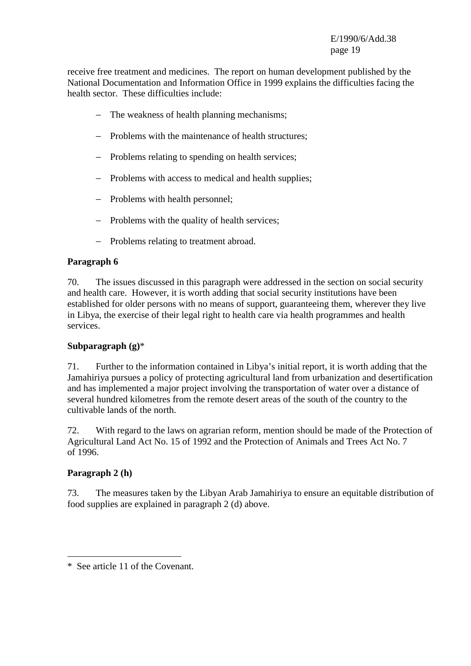receive free treatment and medicines. The report on human development published by the National Documentation and Information Office in 1999 explains the difficulties facing the health sector. These difficulties include:

- − The weakness of health planning mechanisms;
- − Problems with the maintenance of health structures;
- − Problems relating to spending on health services;
- − Problems with access to medical and health supplies;
- − Problems with health personnel;
- − Problems with the quality of health services;
- − Problems relating to treatment abroad.

## **Paragraph 6**

70. The issues discussed in this paragraph were addressed in the section on social security and health care. However, it is worth adding that social security institutions have been established for older persons with no means of support, guaranteeing them, wherever they live in Libya, the exercise of their legal right to health care via health programmes and health services.

## **Subparagraph (g)**\*

71. Further to the information contained in Libya's initial report, it is worth adding that the Jamahiriya pursues a policy of protecting agricultural land from urbanization and desertification and has implemented a major project involving the transportation of water over a distance of several hundred kilometres from the remote desert areas of the south of the country to the cultivable lands of the north.

72. With regard to the laws on agrarian reform, mention should be made of the Protection of Agricultural Land Act No. 15 of 1992 and the Protection of Animals and Trees Act No. 7 of 1996.

## **Paragraph 2 (h)**

 $\overline{a}$ 

73. The measures taken by the Libyan Arab Jamahiriya to ensure an equitable distribution of food supplies are explained in paragraph 2 (d) above.

<sup>\*</sup>See article 11 of the Covenant.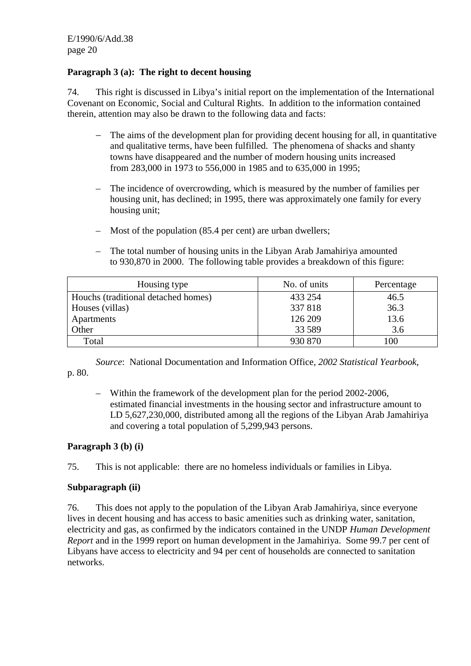# **Paragraph 3 (a): The right to decent housing**

74. This right is discussed in Libya's initial report on the implementation of the International Covenant on Economic, Social and Cultural Rights. In addition to the information contained therein, attention may also be drawn to the following data and facts:

- − The aims of the development plan for providing decent housing for all, in quantitative and qualitative terms, have been fulfilled. The phenomena of shacks and shanty towns have disappeared and the number of modern housing units increased from 283,000 in 1973 to 556,000 in 1985 and to 635,000 in 1995;
- The incidence of overcrowding, which is measured by the number of families per housing unit, has declined; in 1995, there was approximately one family for every housing unit;
- Most of the population (85.4 per cent) are urban dwellers;
- The total number of housing units in the Libyan Arab Jamahiriya amounted to 930,870 in 2000. The following table provides a breakdown of this figure:

| Housing type                        | No. of units | Percentage |
|-------------------------------------|--------------|------------|
| Houchs (traditional detached homes) | 433 254      | 46.5       |
| Houses (villas)                     | 337818       | 36.3       |
| Apartments                          | 126 209      | 13.6       |
| Other                               | 33 5 89      | 3.6        |
| Total                               | 930 870      | 100        |

*Source*: National Documentation and Information Office, *2002 Statistical Yearbook*, p. 80.

– Within the framework of the development plan for the period 2002-2006, estimated financial investments in the housing sector and infrastructure amount to LD 5,627,230,000, distributed among all the regions of the Libyan Arab Jamahiriya and covering a total population of 5,299,943 persons.

## **Paragraph 3 (b) (i)**

75. This is not applicable: there are no homeless individuals or families in Libya.

## **Subparagraph (ii)**

76. This does not apply to the population of the Libyan Arab Jamahiriya, since everyone lives in decent housing and has access to basic amenities such as drinking water, sanitation, electricity and gas, as confirmed by the indicators contained in the UNDP *Human Development Report* and in the 1999 report on human development in the Jamahiriya. Some 99.7 per cent of Libyans have access to electricity and 94 per cent of households are connected to sanitation networks.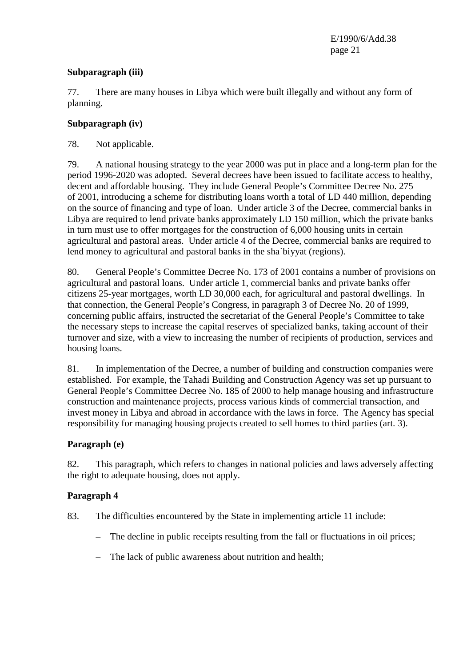## **Subparagraph (iii)**

77. There are many houses in Libya which were built illegally and without any form of planning.

## **Subparagraph (iv)**

# 78. Not applicable.

79. A national housing strategy to the year 2000 was put in place and a long-term plan for the period 1996-2020 was adopted. Several decrees have been issued to facilitate access to healthy, decent and affordable housing. They include General People's Committee Decree No. 275 of 2001, introducing a scheme for distributing loans worth a total of LD 440 million, depending on the source of financing and type of loan. Under article 3 of the Decree, commercial banks in Libya are required to lend private banks approximately LD 150 million, which the private banks in turn must use to offer mortgages for the construction of 6,000 housing units in certain agricultural and pastoral areas. Under article 4 of the Decree, commercial banks are required to lend money to agricultural and pastoral banks in the sha`biyyat (regions).

80. General People's Committee Decree No. 173 of 2001 contains a number of provisions on agricultural and pastoral loans. Under article 1, commercial banks and private banks offer citizens 25-year mortgages, worth LD 30,000 each, for agricultural and pastoral dwellings. In that connection, the General People's Congress, in paragraph 3 of Decree No. 20 of 1999, concerning public affairs, instructed the secretariat of the General People's Committee to take the necessary steps to increase the capital reserves of specialized banks, taking account of their turnover and size, with a view to increasing the number of recipients of production, services and housing loans.

81. In implementation of the Decree, a number of building and construction companies were established. For example, the Tahadi Building and Construction Agency was set up pursuant to General People's Committee Decree No. 185 of 2000 to help manage housing and infrastructure construction and maintenance projects, process various kinds of commercial transaction, and invest money in Libya and abroad in accordance with the laws in force. The Agency has special responsibility for managing housing projects created to sell homes to third parties (art. 3).

# **Paragraph (e)**

82. This paragraph, which refers to changes in national policies and laws adversely affecting the right to adequate housing, does not apply.

# **Paragraph 4**

- 83. The difficulties encountered by the State in implementing article 11 include:
	- The decline in public receipts resulting from the fall or fluctuations in oil prices;
	- The lack of public awareness about nutrition and health;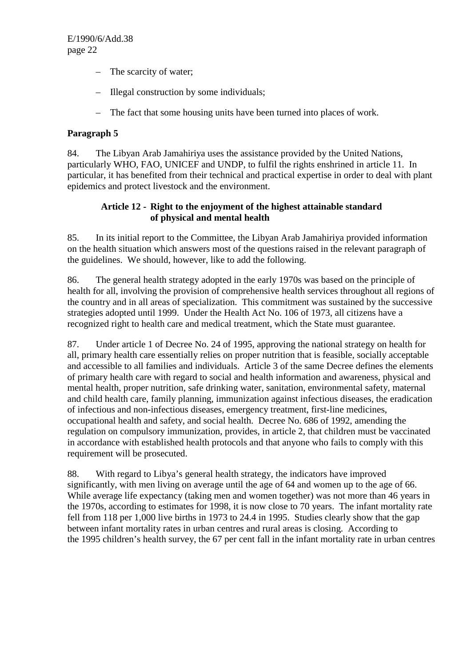- The scarcity of water;
- Illegal construction by some individuals;
- The fact that some housing units have been turned into places of work.

# **Paragraph 5**

84. The Libyan Arab Jamahiriya uses the assistance provided by the United Nations, particularly WHO, FAO, UNICEF and UNDP, to fulfil the rights enshrined in article 11. In particular, it has benefited from their technical and practical expertise in order to deal with plant epidemics and protect livestock and the environment.

## **Article 12 - Right to the enjoyment of the highest attainable standard of physical and mental health**

85. In its initial report to the Committee, the Libyan Arab Jamahiriya provided information on the health situation which answers most of the questions raised in the relevant paragraph of the guidelines. We should, however, like to add the following.

86. The general health strategy adopted in the early 1970s was based on the principle of health for all, involving the provision of comprehensive health services throughout all regions of the country and in all areas of specialization. This commitment was sustained by the successive strategies adopted until 1999. Under the Health Act No. 106 of 1973, all citizens have a recognized right to health care and medical treatment, which the State must guarantee.

87. Under article 1 of Decree No. 24 of 1995, approving the national strategy on health for all, primary health care essentially relies on proper nutrition that is feasible, socially acceptable and accessible to all families and individuals. Article 3 of the same Decree defines the elements of primary health care with regard to social and health information and awareness, physical and mental health, proper nutrition, safe drinking water, sanitation, environmental safety, maternal and child health care, family planning, immunization against infectious diseases, the eradication of infectious and non-infectious diseases, emergency treatment, first-line medicines, occupational health and safety, and social health. Decree No. 686 of 1992, amending the regulation on compulsory immunization, provides, in article 2, that children must be vaccinated in accordance with established health protocols and that anyone who fails to comply with this requirement will be prosecuted.

88. With regard to Libya's general health strategy, the indicators have improved significantly, with men living on average until the age of 64 and women up to the age of 66. While average life expectancy (taking men and women together) was not more than 46 years in the 1970s, according to estimates for 1998, it is now close to 70 years. The infant mortality rate fell from 118 per 1,000 live births in 1973 to 24.4 in 1995. Studies clearly show that the gap between infant mortality rates in urban centres and rural areas is closing. According to the 1995 children's health survey, the 67 per cent fall in the infant mortality rate in urban centres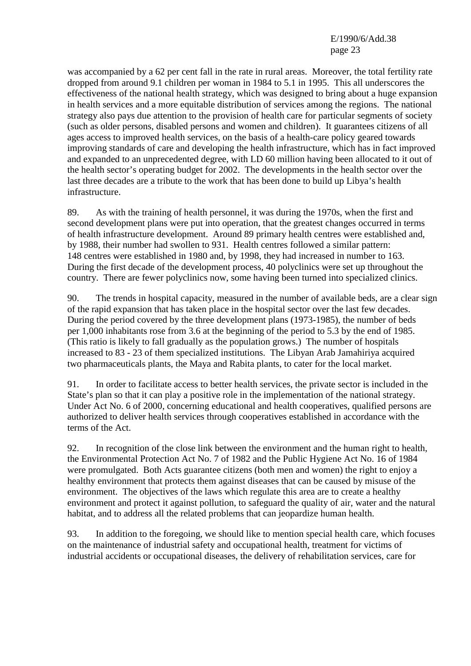was accompanied by a 62 per cent fall in the rate in rural areas. Moreover, the total fertility rate dropped from around 9.1 children per woman in 1984 to 5.1 in 1995. This all underscores the effectiveness of the national health strategy, which was designed to bring about a huge expansion in health services and a more equitable distribution of services among the regions. The national strategy also pays due attention to the provision of health care for particular segments of society (such as older persons, disabled persons and women and children). It guarantees citizens of all ages access to improved health services, on the basis of a health-care policy geared towards improving standards of care and developing the health infrastructure, which has in fact improved and expanded to an unprecedented degree, with LD 60 million having been allocated to it out of the health sector's operating budget for 2002. The developments in the health sector over the last three decades are a tribute to the work that has been done to build up Libya's health infrastructure.

89. As with the training of health personnel, it was during the 1970s, when the first and second development plans were put into operation, that the greatest changes occurred in terms of health infrastructure development. Around 89 primary health centres were established and, by 1988, their number had swollen to 931. Health centres followed a similar pattern: 148 centres were established in 1980 and, by 1998, they had increased in number to 163. During the first decade of the development process, 40 polyclinics were set up throughout the country. There are fewer polyclinics now, some having been turned into specialized clinics.

90. The trends in hospital capacity, measured in the number of available beds, are a clear sign of the rapid expansion that has taken place in the hospital sector over the last few decades. During the period covered by the three development plans (1973-1985), the number of beds per 1,000 inhabitants rose from 3.6 at the beginning of the period to 5.3 by the end of 1985. (This ratio is likely to fall gradually as the population grows.) The number of hospitals increased to 83 - 23 of them specialized institutions. The Libyan Arab Jamahiriya acquired two pharmaceuticals plants, the Maya and Rabita plants, to cater for the local market.

91. In order to facilitate access to better health services, the private sector is included in the State's plan so that it can play a positive role in the implementation of the national strategy. Under Act No. 6 of 2000, concerning educational and health cooperatives, qualified persons are authorized to deliver health services through cooperatives established in accordance with the terms of the Act.

92. In recognition of the close link between the environment and the human right to health, the Environmental Protection Act No. 7 of 1982 and the Public Hygiene Act No. 16 of 1984 were promulgated. Both Acts guarantee citizens (both men and women) the right to enjoy a healthy environment that protects them against diseases that can be caused by misuse of the environment. The objectives of the laws which regulate this area are to create a healthy environment and protect it against pollution, to safeguard the quality of air, water and the natural habitat, and to address all the related problems that can jeopardize human health.

93. In addition to the foregoing, we should like to mention special health care, which focuses on the maintenance of industrial safety and occupational health, treatment for victims of industrial accidents or occupational diseases, the delivery of rehabilitation services, care for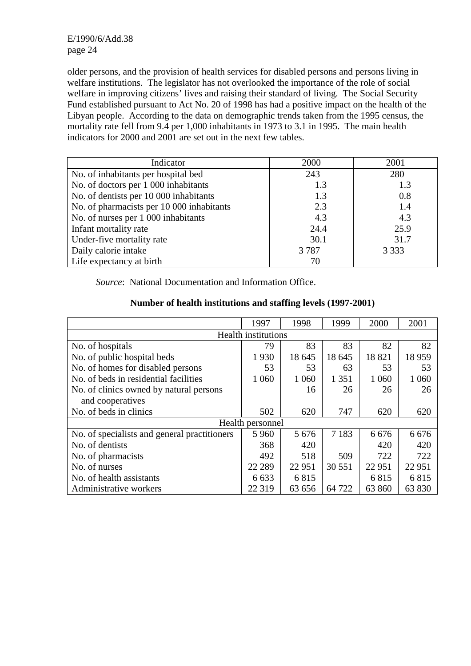older persons, and the provision of health services for disabled persons and persons living in welfare institutions. The legislator has not overlooked the importance of the role of social welfare in improving citizens' lives and raising their standard of living. The Social Security Fund established pursuant to Act No. 20 of 1998 has had a positive impact on the health of the Libyan people. According to the data on demographic trends taken from the 1995 census, the mortality rate fell from 9.4 per 1,000 inhabitants in 1973 to 3.1 in 1995. The main health indicators for 2000 and 2001 are set out in the next few tables.

| Indicator                                 | 2000 | 2001    |
|-------------------------------------------|------|---------|
| No. of inhabitants per hospital bed       | 243  | 280     |
| No. of doctors per 1 000 inhabitants      | 1.3  | 1.3     |
| No. of dentists per 10 000 inhabitants    | 1.3  | 0.8     |
| No. of pharmacists per 10 000 inhabitants | 2.3  | 1.4     |
| No. of nurses per 1 000 inhabitants       | 4.3  | 4.3     |
| Infant mortality rate                     | 24.4 | 25.9    |
| Under-five mortality rate                 | 30.1 | 31.7    |
| Daily calorie intake                      | 3787 | 3 3 3 3 |
| Life expectancy at birth                  | 70   |         |

*Source*: National Documentation and Information Office.

|                                              | 1997                | 1998    | 1999    | 2000    | 2001    |  |  |
|----------------------------------------------|---------------------|---------|---------|---------|---------|--|--|
|                                              | Health institutions |         |         |         |         |  |  |
| No. of hospitals                             | 79                  | 83      | 83      | 82      | 82      |  |  |
| No. of public hospital beds                  | 1930                | 18 645  | 18 645  | 18821   | 18 9 59 |  |  |
| No. of homes for disabled persons            | 53                  | 53      | 63      | 53      | 53      |  |  |
| No. of beds in residential facilities        | 1 0 6 0             | 1 0 6 0 | 1 3 5 1 | 1 0 6 0 | 1 0 6 0 |  |  |
| No. of clinics owned by natural persons      |                     | 16      | 26      | 26      | 26      |  |  |
| and cooperatives                             |                     |         |         |         |         |  |  |
| No. of beds in clinics                       | 502                 | 620     | 747     | 620     | 620     |  |  |
|                                              | Health personnel    |         |         |         |         |  |  |
| No. of specialists and general practitioners | 5 9 6 0             | 5 6 7 6 | 7 1 8 3 | 6 6 7 6 | 6 6 7 6 |  |  |
| No. of dentists                              | 368                 | 420     |         | 420     | 420     |  |  |
| No. of pharmacists                           | 492                 | 518     | 509     | 722     | 722     |  |  |
| No. of nurses                                | 22 28 9             | 22 9 51 | 30 551  | 22 951  | 22 951  |  |  |
| No. of health assistants                     | 6 6 3 3             | 6815    |         | 6815    | 6815    |  |  |
| Administrative workers                       | 22 3 19             | 63 656  | 64 722  | 63 860  | 63 830  |  |  |

#### **Number of health institutions and staffing levels (1997-2001)**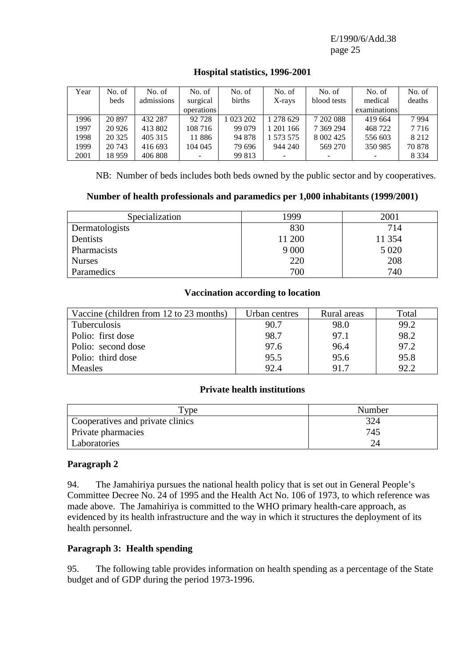| Year | No. of  | No. of     | No. of            | No. of    | No. of    | No. of        | No. of       | No. of  |
|------|---------|------------|-------------------|-----------|-----------|---------------|--------------|---------|
|      | beds    | admissions | surgical          | births    | X-rays    | blood tests   | medical      | deaths  |
|      |         |            | <i>operations</i> |           |           |               | examinations |         |
| 1996 | 20897   | 432 287    | 92 7 28           | 1 023 202 | 1 278 629 | 7 202 088     | 419 664      | 7994    |
| 1997 | 20 9 26 | 413 802    | 108 716           | 99 079    | 201 166   | 7 369 294     | 468722       | 7716    |
| 1998 | 20 3 25 | 405 315    | 11886             | 94 878    | 1 573 575 | 8 0 0 2 4 2 5 | 556 603      | 8 2 1 2 |
| 1999 | 20 743  | 416 693    | 104 045           | 79 696    | 944 240   | 569 270       | 350 985      | 70 878  |
| 2001 | 18 959  | 406 808    |                   | 99 813    |           |               |              | 8 3 3 4 |

# **Hospital statistics, 1996-2001**

NB: Number of beds includes both beds owned by the public sector and by cooperatives.

## **Number of health professionals and paramedics per 1,000 inhabitants (1999/2001)**

| Specialization | 1999    | 2001   |
|----------------|---------|--------|
| Dermatologists | 830     | 714    |
| Dentists       | 11 200  | 11 354 |
| Pharmacists    | 9 0 0 0 | 5 0 20 |
| <b>Nurses</b>  | 220     | 208    |
| Paramedics     | 700     | 740    |

#### **Vaccination according to location**

| Vaccine (children from 12 to 23 months) | Urban centres | Rural areas | Total |
|-----------------------------------------|---------------|-------------|-------|
| Tuberculosis                            | 90.7          | 98.0        | 99.2  |
| Polio: first dose                       | 98.7          | 97.1        | 98.2  |
| Polio: second dose                      | 97.6          | 96.4        | 97.2  |
| Polio: third dose                       | 95.5          | 95.6        | 95.8  |
| <b>Measles</b>                          | 92.4          | 91.7        | 92.2  |

#### **Private health institutions**

| vpe                              | Number |
|----------------------------------|--------|
| Cooperatives and private clinics | 324    |
| Private pharmacies               | 745    |
| Laboratories                     |        |

## **Paragraph 2**

94. The Jamahiriya pursues the national health policy that is set out in General People's Committee Decree No. 24 of 1995 and the Health Act No. 106 of 1973, to which reference was made above. The Jamahiriya is committed to the WHO primary health-care approach, as evidenced by its health infrastructure and the way in which it structures the deployment of its health personnel.

#### **Paragraph 3: Health spending**

95. The following table provides information on health spending as a percentage of the State budget and of GDP during the period 1973-1996.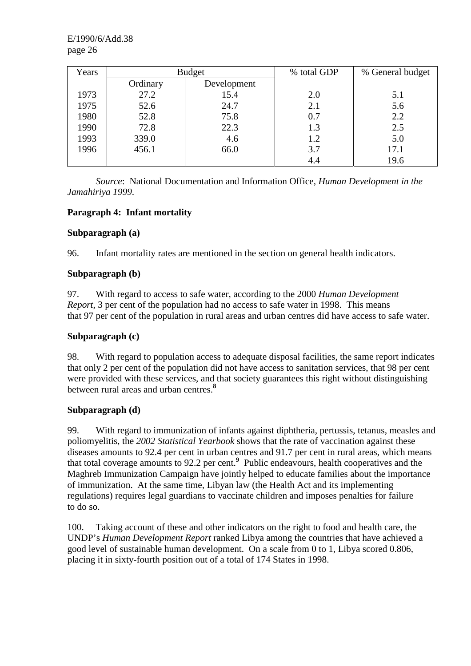| Years | <b>Budget</b> |             | % total GDP | % General budget |
|-------|---------------|-------------|-------------|------------------|
|       | Ordinary      | Development |             |                  |
| 1973  | 27.2          | 15.4        | 2.0         | 5.1              |
| 1975  | 52.6          | 24.7        | 2.1         | 5.6              |
| 1980  | 52.8          | 75.8        | 0.7         | 2.2              |
| 1990  | 72.8          | 22.3        | 1.3         | 2.5              |
| 1993  | 339.0         | 4.6         | 1.2         | 5.0              |
| 1996  | 456.1         | 66.0        | 3.7         | 17.1             |
|       |               |             | 4.4         | 19.6             |

*Source*: National Documentation and Information Office, *Human Development in the Jamahiriya 1999*.

# **Paragraph 4: Infant mortality**

## **Subparagraph (a)**

96. Infant mortality rates are mentioned in the section on general health indicators.

## **Subparagraph (b)**

97. With regard to access to safe water, according to the 2000 *Human Development Report*, 3 per cent of the population had no access to safe water in 1998. This means that 97 per cent of the population in rural areas and urban centres did have access to safe water.

## **Subparagraph (c)**

98. With regard to population access to adequate disposal facilities, the same report indicates that only 2 per cent of the population did not have access to sanitation services, that 98 per cent were provided with these services, and that society guarantees this right without distinguishing between rural areas and urban centres.**<sup>8</sup>**

## **Subparagraph (d)**

99. With regard to immunization of infants against diphtheria, pertussis, tetanus, measles and poliomyelitis, the *2002 Statistical Yearbook* shows that the rate of vaccination against these diseases amounts to 92.4 per cent in urban centres and 91.7 per cent in rural areas, which means that total coverage amounts to 92.2 per cent.**<sup>9</sup>** Public endeavours, health cooperatives and the Maghreb Immunization Campaign have jointly helped to educate families about the importance of immunization. At the same time, Libyan law (the Health Act and its implementing regulations) requires legal guardians to vaccinate children and imposes penalties for failure to do so.

100. Taking account of these and other indicators on the right to food and health care, the UNDP's *Human Development Report* ranked Libya among the countries that have achieved a good level of sustainable human development. On a scale from 0 to 1, Libya scored 0.806, placing it in sixty-fourth position out of a total of 174 States in 1998.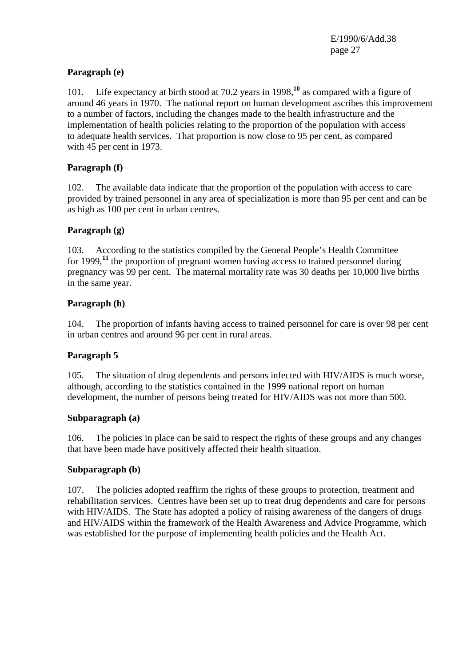# **Paragraph (e)**

101. Life expectancy at birth stood at 70.2 years in 1998,**<sup>10</sup>** as compared with a figure of around 46 years in 1970. The national report on human development ascribes this improvement to a number of factors, including the changes made to the health infrastructure and the implementation of health policies relating to the proportion of the population with access to adequate health services. That proportion is now close to 95 per cent, as compared with 45 per cent in 1973.

## **Paragraph (f)**

102. The available data indicate that the proportion of the population with access to care provided by trained personnel in any area of specialization is more than 95 per cent and can be as high as 100 per cent in urban centres.

# **Paragraph (g)**

103. According to the statistics compiled by the General People's Health Committee for 1999,**<sup>11</sup>** the proportion of pregnant women having access to trained personnel during pregnancy was 99 per cent. The maternal mortality rate was 30 deaths per 10,000 live births in the same year.

## **Paragraph (h)**

104. The proportion of infants having access to trained personnel for care is over 98 per cent in urban centres and around 96 per cent in rural areas.

## **Paragraph 5**

105. The situation of drug dependents and persons infected with HIV/AIDS is much worse, although, according to the statistics contained in the 1999 national report on human development, the number of persons being treated for HIV/AIDS was not more than 500.

## **Subparagraph (a)**

106. The policies in place can be said to respect the rights of these groups and any changes that have been made have positively affected their health situation.

## **Subparagraph (b)**

107. The policies adopted reaffirm the rights of these groups to protection, treatment and rehabilitation services. Centres have been set up to treat drug dependents and care for persons with HIV/AIDS. The State has adopted a policy of raising awareness of the dangers of drugs and HIV/AIDS within the framework of the Health Awareness and Advice Programme, which was established for the purpose of implementing health policies and the Health Act.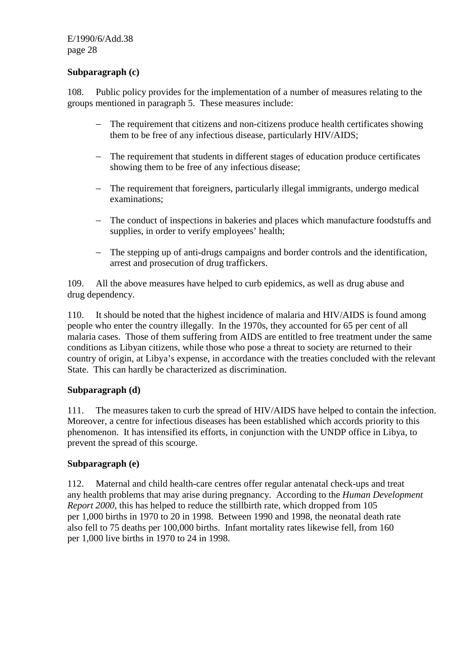#### **Subparagraph (c)**

108. Public policy provides for the implementation of a number of measures relating to the groups mentioned in paragraph 5. These measures include:

- − The requirement that citizens and non-citizens produce health certificates showing them to be free of any infectious disease, particularly HIV/AIDS;
- − The requirement that students in different stages of education produce certificates showing them to be free of any infectious disease;
- − The requirement that foreigners, particularly illegal immigrants, undergo medical examinations;
- − The conduct of inspections in bakeries and places which manufacture foodstuffs and supplies, in order to verify employees' health;
- − The stepping up of anti-drugs campaigns and border controls and the identification, arrest and prosecution of drug traffickers.

109. All the above measures have helped to curb epidemics, as well as drug abuse and drug dependency.

110. It should be noted that the highest incidence of malaria and HIV/AIDS is found among people who enter the country illegally. In the 1970s, they accounted for 65 per cent of all malaria cases. Those of them suffering from AIDS are entitled to free treatment under the same conditions as Libyan citizens, while those who pose a threat to society are returned to their country of origin, at Libya's expense, in accordance with the treaties concluded with the relevant State. This can hardly be characterized as discrimination.

## **Subparagraph (d)**

111. The measures taken to curb the spread of HIV/AIDS have helped to contain the infection. Moreover, a centre for infectious diseases has been established which accords priority to this phenomenon. It has intensified its efforts, in conjunction with the UNDP office in Libya, to prevent the spread of this scourge.

#### **Subparagraph (e)**

112. Maternal and child health-care centres offer regular antenatal check-ups and treat any health problems that may arise during pregnancy. According to the *Human Development Report 2000*, this has helped to reduce the stillbirth rate, which dropped from 105 per 1,000 births in 1970 to 20 in 1998. Between 1990 and 1998, the neonatal death rate also fell to 75 deaths per 100,000 births. Infant mortality rates likewise fell, from 160 per 1,000 live births in 1970 to 24 in 1998.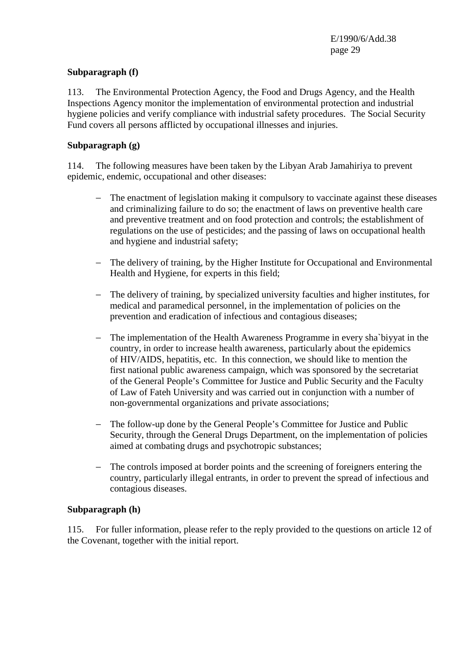#### **Subparagraph (f)**

113. The Environmental Protection Agency, the Food and Drugs Agency, and the Health Inspections Agency monitor the implementation of environmental protection and industrial hygiene policies and verify compliance with industrial safety procedures. The Social Security Fund covers all persons afflicted by occupational illnesses and injuries.

#### **Subparagraph (g)**

114. The following measures have been taken by the Libyan Arab Jamahiriya to prevent epidemic, endemic, occupational and other diseases:

- − The enactment of legislation making it compulsory to vaccinate against these diseases and criminalizing failure to do so; the enactment of laws on preventive health care and preventive treatment and on food protection and controls; the establishment of regulations on the use of pesticides; and the passing of laws on occupational health and hygiene and industrial safety;
- − The delivery of training, by the Higher Institute for Occupational and Environmental Health and Hygiene, for experts in this field;
- − The delivery of training, by specialized university faculties and higher institutes, for medical and paramedical personnel, in the implementation of policies on the prevention and eradication of infectious and contagious diseases;
- − The implementation of the Health Awareness Programme in every sha`biyyat in the country, in order to increase health awareness, particularly about the epidemics of HIV/AIDS, hepatitis, etc. In this connection, we should like to mention the first national public awareness campaign, which was sponsored by the secretariat of the General People's Committee for Justice and Public Security and the Faculty of Law of Fateh University and was carried out in conjunction with a number of non-governmental organizations and private associations;
- − The follow-up done by the General People's Committee for Justice and Public Security, through the General Drugs Department, on the implementation of policies aimed at combating drugs and psychotropic substances;
- − The controls imposed at border points and the screening of foreigners entering the country, particularly illegal entrants, in order to prevent the spread of infectious and contagious diseases.

#### **Subparagraph (h)**

115. For fuller information, please refer to the reply provided to the questions on article 12 of the Covenant, together with the initial report.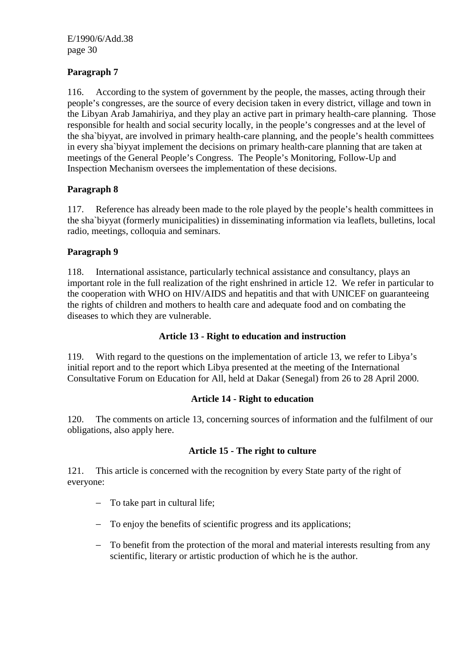# **Paragraph 7**

116. According to the system of government by the people, the masses, acting through their people's congresses, are the source of every decision taken in every district, village and town in the Libyan Arab Jamahiriya, and they play an active part in primary health-care planning. Those responsible for health and social security locally, in the people's congresses and at the level of the sha`biyyat, are involved in primary health-care planning, and the people's health committees in every sha`biyyat implement the decisions on primary health-care planning that are taken at meetings of the General People's Congress. The People's Monitoring, Follow-Up and Inspection Mechanism oversees the implementation of these decisions.

## **Paragraph 8**

117. Reference has already been made to the role played by the people's health committees in the sha`biyyat (formerly municipalities) in disseminating information via leaflets, bulletins, local radio, meetings, colloquia and seminars.

## **Paragraph 9**

118. International assistance, particularly technical assistance and consultancy, plays an important role in the full realization of the right enshrined in article 12. We refer in particular to the cooperation with WHO on HIV/AIDS and hepatitis and that with UNICEF on guaranteeing the rights of children and mothers to health care and adequate food and on combating the diseases to which they are vulnerable.

#### **Article 13 - Right to education and instruction**

119. With regard to the questions on the implementation of article 13, we refer to Libya's initial report and to the report which Libya presented at the meeting of the International Consultative Forum on Education for All, held at Dakar (Senegal) from 26 to 28 April 2000.

## **Article 14 - Right to education**

120. The comments on article 13, concerning sources of information and the fulfilment of our obligations, also apply here.

#### **Article 15 - The right to culture**

121. This article is concerned with the recognition by every State party of the right of everyone:

- − To take part in cultural life;
- − To enjoy the benefits of scientific progress and its applications;
- − To benefit from the protection of the moral and material interests resulting from any scientific, literary or artistic production of which he is the author.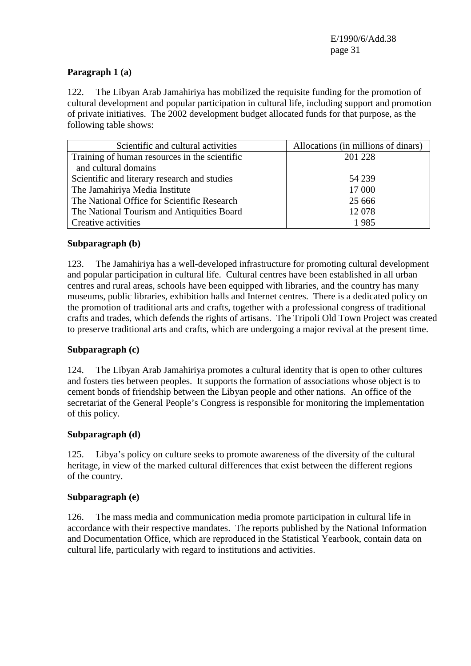# **Paragraph 1 (a)**

122. The Libyan Arab Jamahiriya has mobilized the requisite funding for the promotion of cultural development and popular participation in cultural life, including support and promotion of private initiatives. The 2002 development budget allocated funds for that purpose, as the following table shows:

| Scientific and cultural activities            | Allocations (in millions of dinars) |
|-----------------------------------------------|-------------------------------------|
| Training of human resources in the scientific | 201 228                             |
| and cultural domains                          |                                     |
| Scientific and literary research and studies  | 54 239                              |
| The Jamahiriya Media Institute                | 17 000                              |
| The National Office for Scientific Research   | 25 6 6 6                            |
| The National Tourism and Antiquities Board    | 12 078                              |
| Creative activities                           | 1985                                |

## **Subparagraph (b)**

123. The Jamahiriya has a well-developed infrastructure for promoting cultural development and popular participation in cultural life. Cultural centres have been established in all urban centres and rural areas, schools have been equipped with libraries, and the country has many museums, public libraries, exhibition halls and Internet centres. There is a dedicated policy on the promotion of traditional arts and crafts, together with a professional congress of traditional crafts and trades, which defends the rights of artisans. The Tripoli Old Town Project was created to preserve traditional arts and crafts, which are undergoing a major revival at the present time.

## **Subparagraph (c)**

124. The Libyan Arab Jamahiriya promotes a cultural identity that is open to other cultures and fosters ties between peoples. It supports the formation of associations whose object is to cement bonds of friendship between the Libyan people and other nations. An office of the secretariat of the General People's Congress is responsible for monitoring the implementation of this policy.

## **Subparagraph (d)**

125. Libya's policy on culture seeks to promote awareness of the diversity of the cultural heritage, in view of the marked cultural differences that exist between the different regions of the country.

#### **Subparagraph (e)**

126. The mass media and communication media promote participation in cultural life in accordance with their respective mandates. The reports published by the National Information and Documentation Office, which are reproduced in the Statistical Yearbook, contain data on cultural life, particularly with regard to institutions and activities.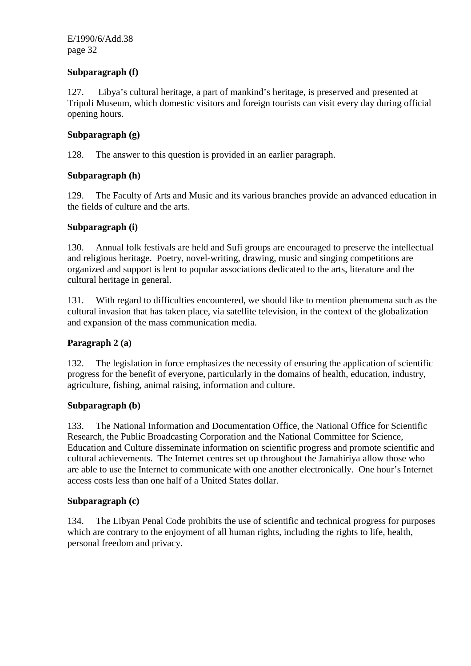## **Subparagraph (f)**

127. Libya's cultural heritage, a part of mankind's heritage, is preserved and presented at Tripoli Museum, which domestic visitors and foreign tourists can visit every day during official opening hours.

#### **Subparagraph (g)**

128. The answer to this question is provided in an earlier paragraph.

#### **Subparagraph (h)**

129. The Faculty of Arts and Music and its various branches provide an advanced education in the fields of culture and the arts.

#### **Subparagraph (i)**

130. Annual folk festivals are held and Sufi groups are encouraged to preserve the intellectual and religious heritage. Poetry, novel-writing, drawing, music and singing competitions are organized and support is lent to popular associations dedicated to the arts, literature and the cultural heritage in general.

131. With regard to difficulties encountered, we should like to mention phenomena such as the cultural invasion that has taken place, via satellite television, in the context of the globalization and expansion of the mass communication media.

#### **Paragraph 2 (a)**

132. The legislation in force emphasizes the necessity of ensuring the application of scientific progress for the benefit of everyone, particularly in the domains of health, education, industry, agriculture, fishing, animal raising, information and culture.

#### **Subparagraph (b)**

133. The National Information and Documentation Office, the National Office for Scientific Research, the Public Broadcasting Corporation and the National Committee for Science, Education and Culture disseminate information on scientific progress and promote scientific and cultural achievements. The Internet centres set up throughout the Jamahiriya allow those who are able to use the Internet to communicate with one another electronically. One hour's Internet access costs less than one half of a United States dollar.

#### **Subparagraph (c)**

134. The Libyan Penal Code prohibits the use of scientific and technical progress for purposes which are contrary to the enjoyment of all human rights, including the rights to life, health, personal freedom and privacy.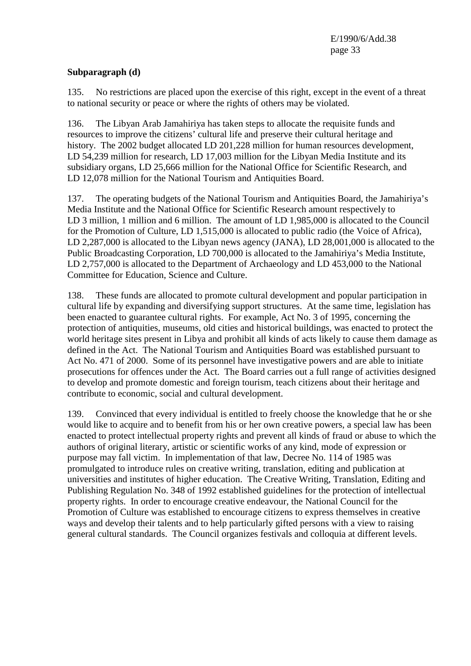## **Subparagraph (d)**

135. No restrictions are placed upon the exercise of this right, except in the event of a threat to national security or peace or where the rights of others may be violated.

136. The Libyan Arab Jamahiriya has taken steps to allocate the requisite funds and resources to improve the citizens' cultural life and preserve their cultural heritage and history. The 2002 budget allocated LD 201,228 million for human resources development, LD 54,239 million for research, LD 17,003 million for the Libyan Media Institute and its subsidiary organs, LD 25,666 million for the National Office for Scientific Research, and LD 12,078 million for the National Tourism and Antiquities Board.

137. The operating budgets of the National Tourism and Antiquities Board, the Jamahiriya's Media Institute and the National Office for Scientific Research amount respectively to LD 3 million, 1 million and 6 million. The amount of LD 1,985,000 is allocated to the Council for the Promotion of Culture, LD 1,515,000 is allocated to public radio (the Voice of Africa), LD 2,287,000 is allocated to the Libyan news agency (JANA), LD 28,001,000 is allocated to the Public Broadcasting Corporation, LD 700,000 is allocated to the Jamahiriya's Media Institute, LD 2,757,000 is allocated to the Department of Archaeology and LD 453,000 to the National Committee for Education, Science and Culture.

138. These funds are allocated to promote cultural development and popular participation in cultural life by expanding and diversifying support structures. At the same time, legislation has been enacted to guarantee cultural rights. For example, Act No. 3 of 1995, concerning the protection of antiquities, museums, old cities and historical buildings, was enacted to protect the world heritage sites present in Libya and prohibit all kinds of acts likely to cause them damage as defined in the Act. The National Tourism and Antiquities Board was established pursuant to Act No. 471 of 2000. Some of its personnel have investigative powers and are able to initiate prosecutions for offences under the Act. The Board carries out a full range of activities designed to develop and promote domestic and foreign tourism, teach citizens about their heritage and contribute to economic, social and cultural development.

139. Convinced that every individual is entitled to freely choose the knowledge that he or she would like to acquire and to benefit from his or her own creative powers, a special law has been enacted to protect intellectual property rights and prevent all kinds of fraud or abuse to which the authors of original literary, artistic or scientific works of any kind, mode of expression or purpose may fall victim. In implementation of that law, Decree No. 114 of 1985 was promulgated to introduce rules on creative writing, translation, editing and publication at universities and institutes of higher education. The Creative Writing, Translation, Editing and Publishing Regulation No. 348 of 1992 established guidelines for the protection of intellectual property rights. In order to encourage creative endeavour, the National Council for the Promotion of Culture was established to encourage citizens to express themselves in creative ways and develop their talents and to help particularly gifted persons with a view to raising general cultural standards. The Council organizes festivals and colloquia at different levels.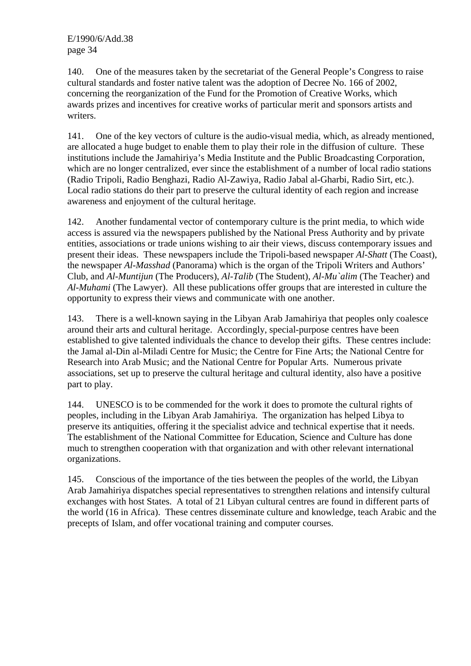140. One of the measures taken by the secretariat of the General People's Congress to raise cultural standards and foster native talent was the adoption of Decree No. 166 of 2002, concerning the reorganization of the Fund for the Promotion of Creative Works, which awards prizes and incentives for creative works of particular merit and sponsors artists and writers.

141. One of the key vectors of culture is the audio-visual media, which, as already mentioned, are allocated a huge budget to enable them to play their role in the diffusion of culture. These institutions include the Jamahiriya's Media Institute and the Public Broadcasting Corporation, which are no longer centralized, ever since the establishment of a number of local radio stations (Radio Tripoli, Radio Benghazi, Radio Al-Zawiya, Radio Jabal al-Gharbi, Radio Sirt, etc.). Local radio stations do their part to preserve the cultural identity of each region and increase awareness and enjoyment of the cultural heritage.

142. Another fundamental vector of contemporary culture is the print media, to which wide access is assured via the newspapers published by the National Press Authority and by private entities, associations or trade unions wishing to air their views, discuss contemporary issues and present their ideas. These newspapers include the Tripoli-based newspaper *Al-Shatt* (The Coast), the newspaper *Al-Masshad* (Panorama) which is the organ of the Tripoli Writers and Authors' Club, and *Al-Muntijun* (The Producers), *Al-Talib* (The Student), *Al-Mu`alim* (The Teacher) and *Al-Muhami* (The Lawyer). All these publications offer groups that are interested in culture the opportunity to express their views and communicate with one another.

143. There is a well-known saying in the Libyan Arab Jamahiriya that peoples only coalesce around their arts and cultural heritage. Accordingly, special-purpose centres have been established to give talented individuals the chance to develop their gifts. These centres include: the Jamal al-Din al-Miladi Centre for Music; the Centre for Fine Arts; the National Centre for Research into Arab Music; and the National Centre for Popular Arts. Numerous private associations, set up to preserve the cultural heritage and cultural identity, also have a positive part to play.

144. UNESCO is to be commended for the work it does to promote the cultural rights of peoples, including in the Libyan Arab Jamahiriya. The organization has helped Libya to preserve its antiquities, offering it the specialist advice and technical expertise that it needs. The establishment of the National Committee for Education, Science and Culture has done much to strengthen cooperation with that organization and with other relevant international organizations.

145. Conscious of the importance of the ties between the peoples of the world, the Libyan Arab Jamahiriya dispatches special representatives to strengthen relations and intensify cultural exchanges with host States. A total of 21 Libyan cultural centres are found in different parts of the world (16 in Africa). These centres disseminate culture and knowledge, teach Arabic and the precepts of Islam, and offer vocational training and computer courses.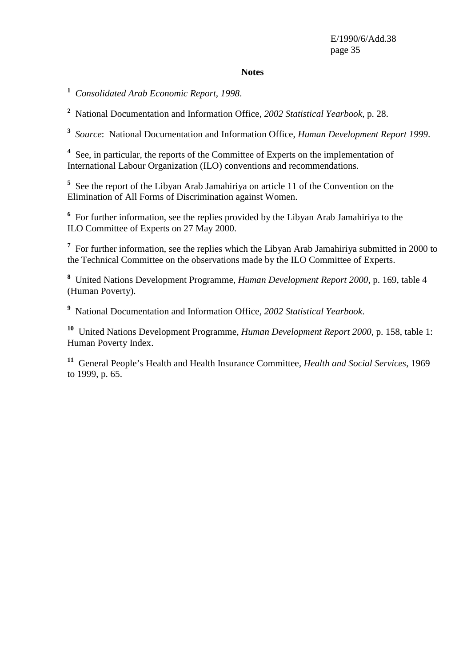#### **Notes**

**1** *Consolidated Arab Economic Report, 1998*.

**2** National Documentation and Information Office, *2002 Statistical Yearbook*, p. 28.

**3** *Source*: National Documentation and Information Office, *Human Development Report 1999*.

<sup>4</sup> See, in particular, the reports of the Committee of Experts on the implementation of International Labour Organization (ILO) conventions and recommendations.

<sup>5</sup> See the report of the Libyan Arab Jamahiriya on article 11 of the Convention on the Elimination of All Forms of Discrimination against Women.

<sup>6</sup> For further information, see the replies provided by the Libyan Arab Jamahiriya to the ILO Committee of Experts on 27 May 2000.

<sup>7</sup> For further information, see the replies which the Libyan Arab Jamahiriya submitted in 2000 to the Technical Committee on the observations made by the ILO Committee of Experts.

**8** United Nations Development Programme, *Human Development Report 2000*, p. 169, table 4 (Human Poverty).

**9** National Documentation and Information Office, *2002 Statistical Yearbook*.

**<sup>10</sup>** United Nations Development Programme, *Human Development Report 2000*, p. 158, table 1: Human Poverty Index.

**<sup>11</sup>** General People's Health and Health Insurance Committee, *Health and Social Services*, 1969 to 1999, p. 65.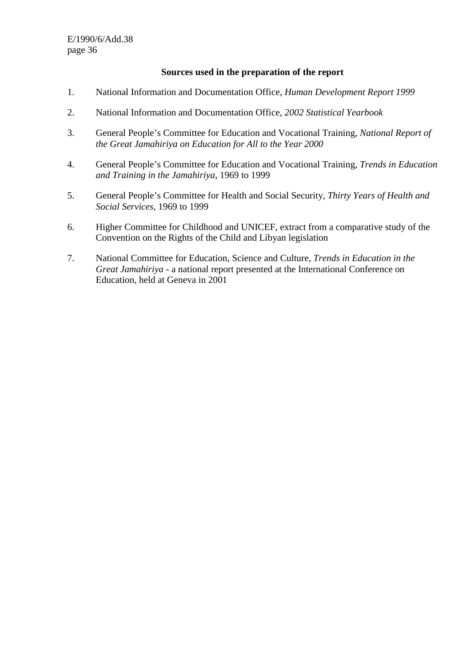#### **Sources used in the preparation of the report**

- 1. National Information and Documentation Office, *Human Development Report 1999*
- 2. National Information and Documentation Office, *2002 Statistical Yearbook*
- 3. General People's Committee for Education and Vocational Training, *National Report of the Great Jamahiriya on Education for All to the Year 2000*
- 4. General People's Committee for Education and Vocational Training, *Trends in Education and Training in the Jamahiriya*, 1969 to 1999
- 5. General People's Committee for Health and Social Security, *Thirty Years of Health and Social Services*, 1969 to 1999
- 6. Higher Committee for Childhood and UNICEF, extract from a comparative study of the Convention on the Rights of the Child and Libyan legislation
- 7. National Committee for Education, Science and Culture, *Trends in Education in the Great Jamahiriya* - a national report presented at the International Conference on Education, held at Geneva in 2001